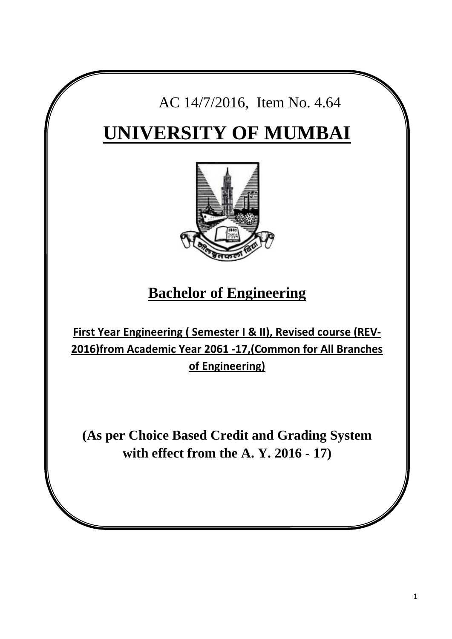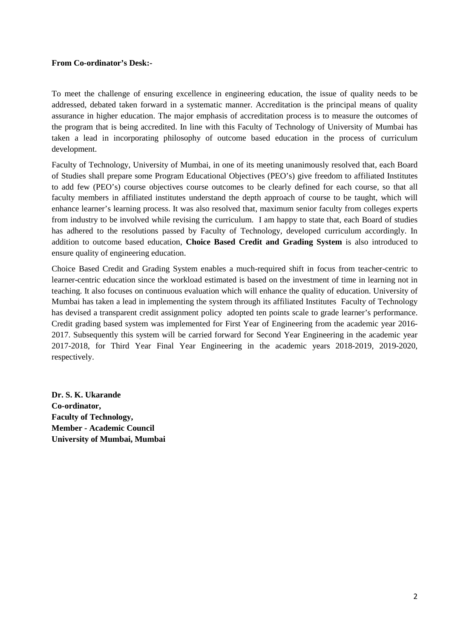#### **From Co-ordinator's Desk:-**

To meet the challenge of ensuring excellence in engineering education, the issue of quality needs to be addressed, debated taken forward in a systematic manner. Accreditation is the principal means of quality assurance in higher education. The major emphasis of accreditation process is to measure the outcomes of the program that is being accredited. In line with this Faculty of Technology of University of Mumbai has taken a lead in incorporating philosophy of outcome based education in the process of curriculum development.

Faculty of Technology, University of Mumbai, in one of its meeting unanimously resolved that, each Board of Studies shall prepare some Program Educational Objectives (PEO's) give freedom to affiliated Institutes to add few (PEO's) course objectives course outcomes to be clearly defined for each course, so that all faculty members in affiliated institutes understand the depth approach of course to be taught, which will enhance learner's learning process. It was also resolved that, maximum senior faculty from colleges experts from industry to be involved while revising the curriculum. I am happy to state that, each Board of studies has adhered to the resolutions passed by Faculty of Technology, developed curriculum accordingly. In addition to outcome based education, **Choice Based Credit and Grading System** is also introduced to ensure quality of engineering education.

Choice Based Credit and Grading System enables a much-required shift in focus from teacher-centric to learner-centric education since the workload estimated is based on the investment of time in learning not in teaching. It also focuses on continuous evaluation which will enhance the quality of education. University of Mumbai has taken a lead in implementing the system through its affiliated Institutes Faculty of Technology has devised a transparent credit assignment policy adopted ten points scale to grade learner's performance. Credit grading based system was implemented for First Year of Engineering from the academic year 2016- 2017. Subsequently this system will be carried forward for Second Year Engineering in the academic year 2017-2018, for Third Year Final Year Engineering in the academic years 2018-2019, 2019-2020, respectively.

**Dr. S. K. Ukarande Co-ordinator, Faculty of Technology, Member - Academic Council University of Mumbai, Mumbai**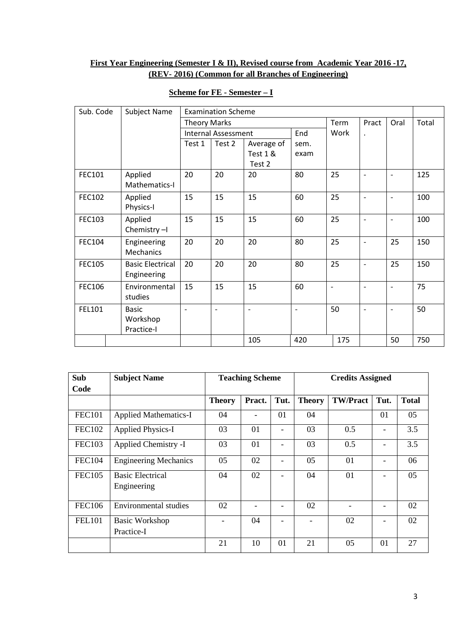# **First Year Engineering (Semester I & II), Revised course from Academic Year 2016 -17, (REV- 2016) (Common for all Branches of Engineering)**

| Sub. Code     | Subject Name                           |                     | <b>Examination Scheme</b>  |                          |      |                          |                          |                          |       |
|---------------|----------------------------------------|---------------------|----------------------------|--------------------------|------|--------------------------|--------------------------|--------------------------|-------|
|               |                                        | <b>Theory Marks</b> |                            |                          |      | Term                     | Pract                    | Oral                     | Total |
|               |                                        |                     | <b>Internal Assessment</b> |                          | End  | Work                     | $\ddot{\phantom{0}}$     |                          |       |
|               |                                        | Test 1              | Test 2                     | Average of               | sem. |                          |                          |                          |       |
|               |                                        |                     |                            | Test 1 &<br>Test 2       | exam |                          |                          |                          |       |
| FEC101        | Applied<br>Mathematics-I               | 20                  | 20                         | 20                       | 80   | 25                       | $\overline{\phantom{a}}$ | $\overline{\phantom{a}}$ | 125   |
| <b>FEC102</b> | Applied<br>Physics-I                   | 15                  | 15                         | 15                       | 60   | 25                       | $\overline{\phantom{a}}$ | $\overline{\phantom{a}}$ | 100   |
| <b>FEC103</b> | Applied<br>Chemistry-I                 | 15                  | 15                         | 15                       | 60   | 25                       | $\overline{\phantom{a}}$ | $\overline{\phantom{a}}$ | 100   |
| FEC104        | Engineering<br>Mechanics               | 20                  | 20                         | 20                       | 80   | 25                       | $\overline{\phantom{a}}$ | 25                       | 150   |
| <b>FEC105</b> | <b>Basic Electrical</b><br>Engineering | 20                  | 20                         | 20                       | 80   | 25                       | $\blacksquare$           | 25                       | 150   |
| <b>FEC106</b> | Environmental<br>studies               | 15                  | 15                         | 15                       | 60   | $\overline{\phantom{a}}$ | $\overline{\phantom{a}}$ | $\overline{\phantom{a}}$ | 75    |
| FEL101        | <b>Basic</b><br>Workshop<br>Practice-I |                     |                            | $\overline{\phantom{a}}$ |      | 50                       |                          | $\qquad \qquad -$        | 50    |
|               |                                        |                     |                            | 105                      | 420  | 175                      |                          | 50                       | 750   |

# **Scheme for FE - Semester – I**

| <b>Sub</b>    | <b>Subject Name</b>                    |               | <b>Teaching Scheme</b> |                          |               | <b>Credits Assigned</b> |                          |              |
|---------------|----------------------------------------|---------------|------------------------|--------------------------|---------------|-------------------------|--------------------------|--------------|
| Code          |                                        |               |                        |                          |               |                         |                          |              |
|               |                                        | <b>Theory</b> | Pract.                 | Tut.                     | <b>Theory</b> | <b>TW/Pract</b>         | Tut.                     | <b>Total</b> |
| <b>FEC101</b> | <b>Applied Mathematics-I</b>           | 04            |                        | 01                       | 04            |                         | 01                       | 05           |
| <b>FEC102</b> | <b>Applied Physics-I</b>               | 03            | 01                     |                          | 03            | 0.5                     |                          | 3.5          |
| <b>FEC103</b> | Applied Chemistry -I                   | 03            | 01                     |                          | 03            | 0.5                     |                          | 3.5          |
| <b>FEC104</b> | <b>Engineering Mechanics</b>           | 05            | 02                     | $\overline{\phantom{0}}$ | 05            | 01                      | $\overline{\phantom{0}}$ | 06           |
| <b>FEC105</b> | <b>Basic Electrical</b><br>Engineering | 04            | 02                     | $\overline{\phantom{0}}$ | 04            | 01                      | $\overline{\phantom{0}}$ | 05           |
| <b>FEC106</b> | Environmental studies                  | 02            |                        |                          | 02            |                         | -                        | 02           |
| <b>FEL101</b> | <b>Basic Workshop</b><br>Practice-I    |               | 04                     |                          |               | 02                      |                          | 02           |
|               |                                        | 21            | 10                     | 01                       | 21            | 05                      | 01                       | 27           |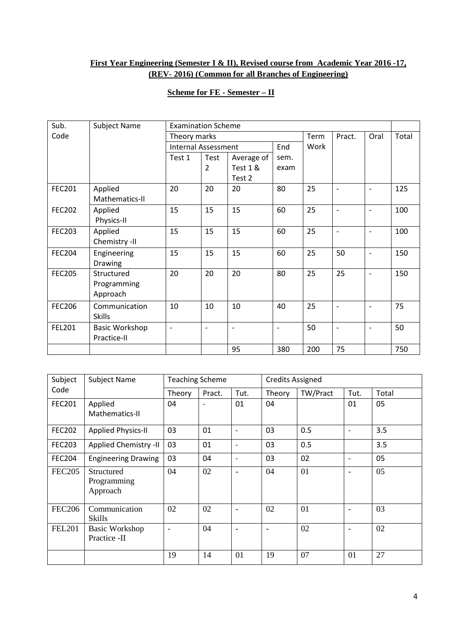# **First Year Engineering (Semester I & II), Revised course from Academic Year 2016 -17, (REV- 2016) (Common for all Branches of Engineering)**

# **Scheme for FE - Semester – II**

| Sub.          | <b>Subject Name</b>   | <b>Examination Scheme</b>  |                          |                   |                          |      |                          |                          |       |
|---------------|-----------------------|----------------------------|--------------------------|-------------------|--------------------------|------|--------------------------|--------------------------|-------|
| Code          |                       | Theory marks               |                          |                   |                          | Term | Pract.                   | Oral                     | Total |
|               |                       | <b>Internal Assessment</b> |                          |                   | End                      | Work |                          |                          |       |
|               |                       | Test 1                     | Test                     | Average of        | sem.                     |      |                          |                          |       |
|               |                       |                            | 2                        | Test 1 &          | exam                     |      |                          |                          |       |
|               |                       |                            |                          | Test 2            |                          |      |                          |                          |       |
| <b>FEC201</b> | Applied               | 20                         | 20                       | 20                | 80                       | 25   | $\overline{\phantom{a}}$ | $\overline{\phantom{a}}$ | 125   |
|               | Mathematics-II        |                            |                          |                   |                          |      |                          |                          |       |
| <b>FEC202</b> | Applied               | 15                         | 15                       | 15                | 60                       | 25   | $\overline{a}$           | $\overline{\phantom{a}}$ | 100   |
|               | Physics-II            |                            |                          |                   |                          |      |                          |                          |       |
| <b>FEC203</b> | Applied               | 15                         | 15                       | 15                | 60                       | 25   | $\overline{\phantom{a}}$ | $\overline{\phantom{a}}$ | 100   |
|               | Chemistry -II         |                            |                          |                   |                          |      |                          |                          |       |
| <b>FEC204</b> | Engineering           | 15                         | 15                       | 15                | 60                       | 25   | 50                       | $\overline{\phantom{a}}$ | 150   |
|               | Drawing               |                            |                          |                   |                          |      |                          |                          |       |
| <b>FEC205</b> | Structured            | 20                         | 20                       | 20                | 80                       | 25   | 25                       |                          | 150   |
|               | Programming           |                            |                          |                   |                          |      |                          |                          |       |
|               | Approach              |                            |                          |                   |                          |      |                          |                          |       |
| <b>FEC206</b> | Communication         | 10                         | 10                       | 10                | 40                       | 25   | $\blacksquare$           | $\overline{\phantom{a}}$ | 75    |
|               | <b>Skills</b>         |                            |                          |                   |                          |      |                          |                          |       |
| <b>FEL201</b> | <b>Basic Workshop</b> | $\overline{\phantom{a}}$   | $\overline{\phantom{a}}$ | $\qquad \qquad -$ | $\overline{\phantom{a}}$ | 50   | $\overline{\phantom{a}}$ | $\overline{\phantom{a}}$ | 50    |
|               | Practice-II           |                            |                          |                   |                          |      |                          |                          |       |
|               |                       |                            |                          | 95                | 380                      | 200  | 75                       |                          | 750   |

| Subject       | <b>Subject Name</b>                          | <b>Teaching Scheme</b>   |        |                          | <b>Credits Assigned</b>  |          |                          |       |
|---------------|----------------------------------------------|--------------------------|--------|--------------------------|--------------------------|----------|--------------------------|-------|
| Code          |                                              | Theory                   | Pract. | Tut.                     | Theory                   | TW/Pract | Tut.                     | Total |
| <b>FEC201</b> | Applied<br>Mathematics-II                    | 04                       |        | 01                       | 04                       |          | 01                       | 05    |
| <b>FEC202</b> | <b>Applied Physics-II</b>                    | 03                       | 01     |                          | 03                       | 0.5      | $\overline{\phantom{a}}$ | 3.5   |
| <b>FEC203</b> | Applied Chemistry -II                        | 03                       | 01     |                          | 03                       | 0.5      |                          | 3.5   |
| <b>FEC204</b> | <b>Engineering Drawing</b>                   | 03                       | 04     |                          | 03                       | 02       | $\overline{\phantom{a}}$ | 05    |
| <b>FEC205</b> | <b>Structured</b><br>Programming<br>Approach | 04                       | 02     | $\overline{\phantom{a}}$ | 04                       | 01       | $\overline{\phantom{a}}$ | 05    |
| <b>FEC206</b> | Communication<br>Skills                      | 02                       | 02     | $\overline{\phantom{a}}$ | 02                       | 01       | $\overline{\phantom{a}}$ | 03    |
| <b>FEL201</b> | <b>Basic Workshop</b><br>Practice -II        | $\overline{\phantom{a}}$ | 04     | $\blacksquare$           | $\overline{\phantom{0}}$ | 02       | $\overline{\phantom{a}}$ | 02    |
|               |                                              | 19                       | 14     | 01                       | 19                       | 07       | 01                       | 27    |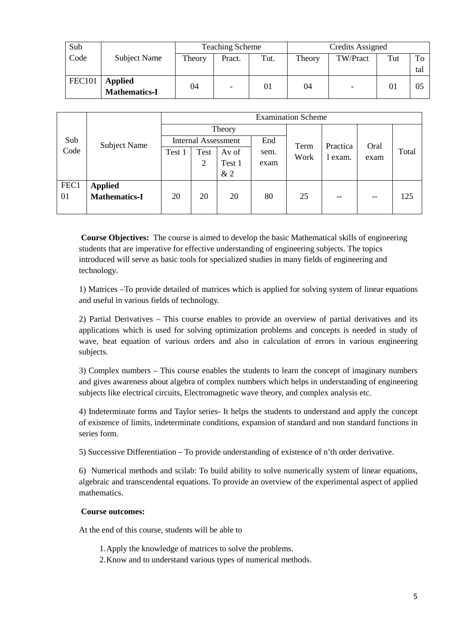| Sub           |                                        |        | <b>Teaching Scheme</b> |      | Credits Assigned |          |     |     |
|---------------|----------------------------------------|--------|------------------------|------|------------------|----------|-----|-----|
| Code          | Subject Name                           | Theory | Pract.                 | Tut. | Theory           | TW/Pract | Tut | To  |
|               |                                        |        |                        |      |                  |          |     | tal |
| <b>FEC101</b> | <b>Applied</b><br><b>Mathematics-I</b> | 04     | $\overline{a}$         | 01   | 04               |          | 01  | 05  |

|      |                      |        |                            |        |      | <b>Examination Scheme</b> |          |      |       |  |
|------|----------------------|--------|----------------------------|--------|------|---------------------------|----------|------|-------|--|
|      |                      |        | Theory                     |        |      |                           |          |      |       |  |
| Sub  | <b>Subject Name</b>  |        | <b>Internal Assessment</b> |        | End  | Term                      | Practica | Oral |       |  |
| Code |                      | Test 1 | Test                       | Av of  | sem. | Work                      | exam.    | exam | Total |  |
|      |                      |        | 2                          | Test 1 | exam |                           |          |      |       |  |
|      |                      |        |                            | &2     |      |                           |          |      |       |  |
| FEC1 | <b>Applied</b>       |        |                            |        |      |                           |          |      |       |  |
| 01   | <b>Mathematics-I</b> | 20     | 20                         | 20     | 80   | 25                        | --       | --   | 125   |  |
|      |                      |        |                            |        |      |                           |          |      |       |  |

**Course Objectives:** The course is aimed to develop the basic Mathematical skills of engineering students that are imperative for effective understanding of engineering subjects. The topics introduced will serve as basic tools for specialized studies in many fields of engineering and technology.

1) Matrices –To provide detailed of matrices which is applied for solving system of linear equations and useful in various fields of technology.

2) Partial Derivatives – This course enables to provide an overview of partial derivatives and its applications which is used for solving optimization problems and concepts is needed in study of wave, heat equation of various orders and also in calculation of errors in various engineering subjects.

3) Complex numbers – This course enables the students to learn the concept of imaginary numbers and gives awareness about algebra of complex numbers which helps in understanding of engineering subjects like electrical circuits, Electromagnetic wave theory, and complex analysis etc.

4) Indeterminate forms and Taylor series- It helps the students to understand and apply the concept of existence of limits, indeterminate conditions, expansion of standard and non standard functions in series form.

5) Successive Differentiation – To provide understanding of existence of n'th order derivative.

6) Numerical methods and scilab: To build ability to solve numerically system of linear equations, algebraic and transcendental equations. To provide an overview of the experimental aspect of applied mathematics.

#### **Course outcomes:**

At the end of this course, students will be able to

1.Apply the knowledge of matrices to solve the problems.

2.Know and to understand various types of numerical methods.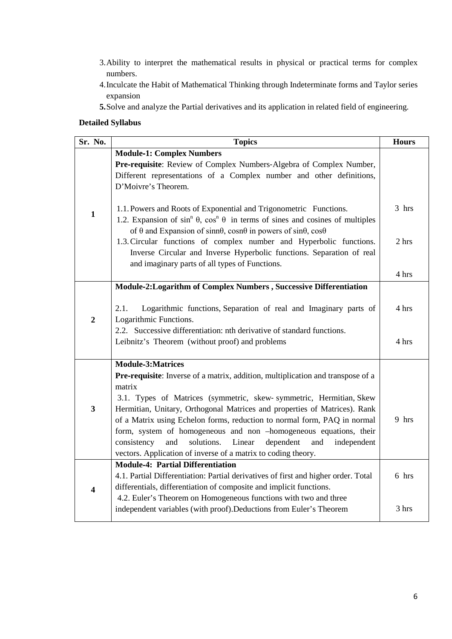- 3.Ability to interpret the mathematical results in physical or practical terms for complex numbers.
- 4.Inculcate the Habit of Mathematical Thinking through Indeterminate forms and Taylor series expansion
- **5.**Solve and analyze the Partial derivatives and its application in related field of engineering.

# **Detailed Syllabus**

| Sr. No.                 | <b>Topics</b>                                                                                                                                                                                                                                                                                                                                                                                                                                                                                                                                                               | <b>Hours</b>   |
|-------------------------|-----------------------------------------------------------------------------------------------------------------------------------------------------------------------------------------------------------------------------------------------------------------------------------------------------------------------------------------------------------------------------------------------------------------------------------------------------------------------------------------------------------------------------------------------------------------------------|----------------|
|                         | <b>Module-1: Complex Numbers</b><br>Pre-requisite: Review of Complex Numbers-Algebra of Complex Number,<br>Different representations of a Complex number and other definitions,<br>D'Moivre's Theorem.                                                                                                                                                                                                                                                                                                                                                                      |                |
| $\mathbf{1}$            | 1.1. Powers and Roots of Exponential and Trigonometric Functions.<br>1.2. Expansion of $\sin^n \theta$ , $\cos^n \theta$ in terms of sines and cosines of multiples<br>of $\theta$ and Expansion of sinn $\theta$ , cosn $\theta$ in powers of sin $\theta$ , cos $\theta$                                                                                                                                                                                                                                                                                                  | 3 hrs          |
|                         | 1.3. Circular functions of complex number and Hyperbolic functions.<br>Inverse Circular and Inverse Hyperbolic functions. Separation of real<br>and imaginary parts of all types of Functions.                                                                                                                                                                                                                                                                                                                                                                              | 2 hrs<br>4 hrs |
|                         | Module-2: Logarithm of Complex Numbers, Successive Differentiation                                                                                                                                                                                                                                                                                                                                                                                                                                                                                                          |                |
| $\overline{2}$          | 2.1.<br>Logarithmic functions, Separation of real and Imaginary parts of<br>Logarithmic Functions.<br>2.2. Successive differentiation: nth derivative of standard functions.<br>Leibnitz's Theorem (without proof) and problems                                                                                                                                                                                                                                                                                                                                             | 4 hrs<br>4 hrs |
|                         |                                                                                                                                                                                                                                                                                                                                                                                                                                                                                                                                                                             |                |
| $\overline{\mathbf{3}}$ | <b>Module-3:Matrices</b><br>Pre-requisite: Inverse of a matrix, addition, multiplication and transpose of a<br>matrix<br>3.1. Types of Matrices (symmetric, skew-symmetric, Hermitian, Skew<br>Hermitian, Unitary, Orthogonal Matrices and properties of Matrices). Rank<br>of a Matrix using Echelon forms, reduction to normal form, PAQ in normal<br>form, system of homogeneous and non -homogeneous equations, their<br>solutions.<br>Linear<br>dependent<br>consistency<br>and<br>and<br>independent<br>vectors. Application of inverse of a matrix to coding theory. | 9 hrs          |
|                         | <b>Module-4: Partial Differentiation</b>                                                                                                                                                                                                                                                                                                                                                                                                                                                                                                                                    | 6 hrs          |
| $\overline{\mathbf{4}}$ | 4.1. Partial Differentiation: Partial derivatives of first and higher order. Total<br>differentials, differentiation of composite and implicit functions.                                                                                                                                                                                                                                                                                                                                                                                                                   |                |
|                         | 4.2. Euler's Theorem on Homogeneous functions with two and three<br>independent variables (with proof). Deductions from Euler's Theorem                                                                                                                                                                                                                                                                                                                                                                                                                                     | 3 hrs          |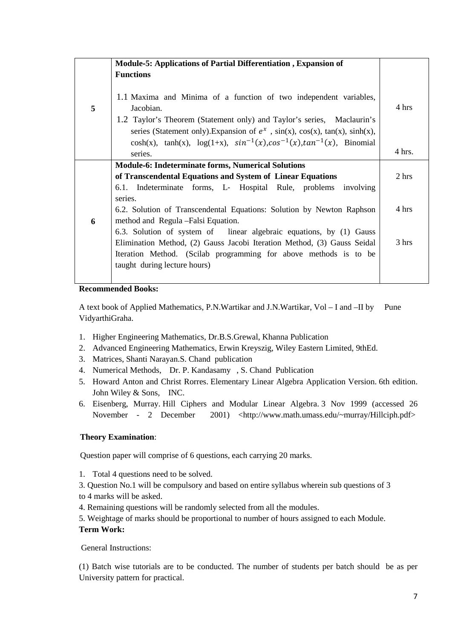|   | <b>Module-5: Applications of Partial Differentiation, Expansion of</b>                                                                                                                                                                                 |        |
|---|--------------------------------------------------------------------------------------------------------------------------------------------------------------------------------------------------------------------------------------------------------|--------|
|   | <b>Functions</b>                                                                                                                                                                                                                                       |        |
| 5 | 1.1 Maxima and Minima of a function of two independent variables,<br>Jacobian.<br>1.2 Taylor's Theorem (Statement only) and Taylor's series, Maclaurin's<br>series (Statement only). Expansion of $e^x$ , $sin(x)$ , $cos(x)$ , $tan(x)$ , $sinh(x)$ , | 4 hrs  |
|   | $cosh(x)$ , $tanh(x)$ , $log(1+x)$ , $sin^{-1}(x)$ , $cos^{-1}(x)$ , $tan^{-1}(x)$ , Binomial<br>series.                                                                                                                                               | 4 hrs. |
|   | <b>Module-6: Indeterminate forms, Numerical Solutions</b>                                                                                                                                                                                              |        |
|   | of Transcendental Equations and System of Linear Equations                                                                                                                                                                                             | 2 hrs  |
|   | 6.1. Indeterminate forms, L- Hospital Rule, problems involving                                                                                                                                                                                         |        |
|   | series.                                                                                                                                                                                                                                                |        |
|   | 6.2. Solution of Transcendental Equations: Solution by Newton Raphson                                                                                                                                                                                  | 4 hrs  |
| 6 | method and Regula - Falsi Equation.                                                                                                                                                                                                                    |        |
|   | 6.3. Solution of system of linear algebraic equations, by (1) Gauss                                                                                                                                                                                    |        |
|   | Elimination Method, (2) Gauss Jacobi Iteration Method, (3) Gauss Seidal                                                                                                                                                                                | 3 hrs  |
|   | Iteration Method. (Scilab programming for above methods is to be                                                                                                                                                                                       |        |
|   | taught during lecture hours)                                                                                                                                                                                                                           |        |
|   |                                                                                                                                                                                                                                                        |        |

## **Recommended Books:**

A text book of Applied Mathematics, P.N.Wartikar and J.N.Wartikar, Vol – I and –II by Pune VidyarthiGraha.

- 1. Higher Engineering Mathematics, Dr.B.S.Grewal, Khanna Publication
- 2. Advanced Engineering Mathematics, Erwin Kreyszig, Wiley Eastern Limited, 9thEd.
- 3. Matrices, Shanti Narayan.S. Chand publication
- 4. Numerical Methods, Dr. P. Kandasamy , S. Chand Publication
- 5. Howard Anton and Christ Rorres. Elementary Linear Algebra Application Version. 6th edition. John Wiley & Sons, INC.
- 6. Eisenberg, Murray. Hill Ciphers and Modular Linear Algebra. 3 Nov 1999 (accessed 26 November - 2 December 2001) <http://www.math.umass.edu/~murray/Hillciph.pdf>

#### **Theory Examination**:

Question paper will comprise of 6 questions, each carrying 20 marks.

- 1. Total 4 questions need to be solved.
- 3. Question No.1 will be compulsory and based on entire syllabus wherein sub questions of 3 to 4 marks will be asked.
- 4. Remaining questions will be randomly selected from all the modules.
- 5. Weightage of marks should be proportional to number of hours assigned to each Module.

## **Term Work:**

General Instructions:

(1) Batch wise tutorials are to be conducted. The number of students per batch should be as per University pattern for practical.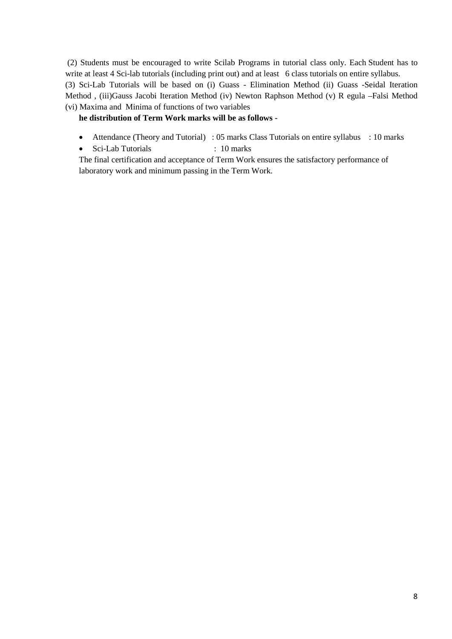(2) Students must be encouraged to write Scilab Programs in tutorial class only. Each Student has to write at least 4 Sci-lab tutorials (including print out) and at least 6 class tutorials on entire syllabus. (3) Sci-Lab Tutorials will be based on (i) Guass - Elimination Method (ii) Guass -Seidal Iteration Method , (iii)Gauss Jacobi Iteration Method (iv) Newton Raphson Method (v) R egula –Falsi Method (vi) Maxima and Minima of functions of two variables

## **he distribution of Term Work marks will be as follows -**

- Attendance (Theory and Tutorial) : 05 marks Class Tutorials on entire syllabus : 10 marks
- Sci-Lab Tutorials : 10 marks

The final certification and acceptance of Term Work ensures the satisfactory performance of laboratory work and minimum passing in the Term Work.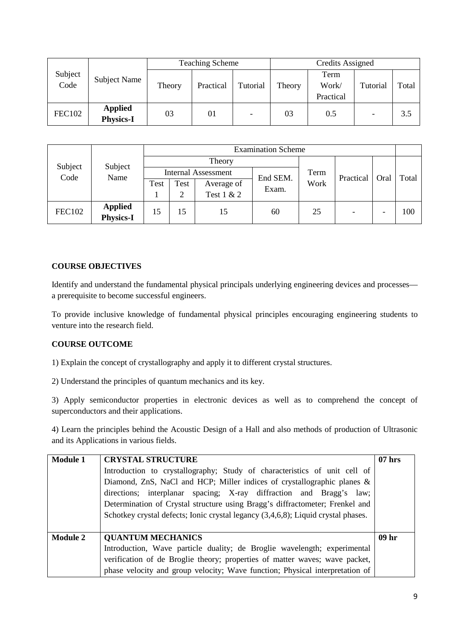|                 |                                    |        | <b>Teaching Scheme</b> |                          |        | Credits Assigned           |          |       |
|-----------------|------------------------------------|--------|------------------------|--------------------------|--------|----------------------------|----------|-------|
| Subject<br>Code | <b>Subject Name</b>                | Theory | Practical              | Tutorial                 | Theory | Term<br>Work/<br>Practical | Tutorial | Total |
| <b>FEC102</b>   | <b>Applied</b><br><b>Physics-I</b> | 03     | 01                     | $\overline{\phantom{0}}$ | 03     | 0.5                        |          | 3.5   |

| Subject<br>Code | Subject          | <b>Examination Scheme</b> |      |                            |          |      |           |      |       |  |
|-----------------|------------------|---------------------------|------|----------------------------|----------|------|-----------|------|-------|--|
|                 |                  |                           |      | Theory                     |          |      |           |      |       |  |
|                 | Name             |                           |      | <b>Internal Assessment</b> | End SEM. | Term | Practical | Oral | Total |  |
|                 |                  | Test                      | Test | Average of                 | Exam.    | Work |           |      |       |  |
|                 |                  |                           | ↑    | Test 1 & 2                 |          |      |           |      |       |  |
| <b>FEC102</b>   | <b>Applied</b>   | 15                        | 15   | 15                         | 60       | 25   |           |      | 100   |  |
|                 | <b>Physics-I</b> |                           |      |                            |          |      |           |      |       |  |

## **COURSE OBJECTIVES**

Identify and understand the fundamental physical principals underlying engineering devices and processes a prerequisite to become successful engineers.

To provide inclusive knowledge of fundamental physical principles encouraging engineering students to venture into the research field.

## **COURSE OUTCOME**

1) Explain the concept of crystallography and apply it to different crystal structures.

2) Understand the principles of quantum mechanics and its key.

3) Apply semiconductor properties in electronic devices as well as to comprehend the concept of superconductors and their applications.

4) Learn the principles behind the Acoustic Design of a Hall and also methods of production of Ultrasonic and its Applications in various fields.

| <b>Module 1</b> | <b>CRYSTAL STRUCTURE</b><br>Introduction to crystallography; Study of characteristics of unit cell of<br>Diamond, ZnS, NaCl and HCP; Miller indices of crystallographic planes &<br>directions; interplanar spacing; X-ray diffraction and Bragg's law;<br>Determination of Crystal structure using Bragg's diffractometer; Frenkel and<br>Schotkey crystal defects; Ionic crystal legancy (3,4,6,8); Liquid crystal phases. | $07$ hrs         |
|-----------------|------------------------------------------------------------------------------------------------------------------------------------------------------------------------------------------------------------------------------------------------------------------------------------------------------------------------------------------------------------------------------------------------------------------------------|------------------|
|                 |                                                                                                                                                                                                                                                                                                                                                                                                                              |                  |
| <b>Module 2</b> | <b>QUANTUM MECHANICS</b>                                                                                                                                                                                                                                                                                                                                                                                                     | 09 <sub>hr</sub> |
|                 | Introduction, Wave particle duality; de Broglie wavelength; experimental                                                                                                                                                                                                                                                                                                                                                     |                  |
|                 | verification of de Broglie theory; properties of matter waves; wave packet,                                                                                                                                                                                                                                                                                                                                                  |                  |
|                 | phase velocity and group velocity; Wave function; Physical interpretation of                                                                                                                                                                                                                                                                                                                                                 |                  |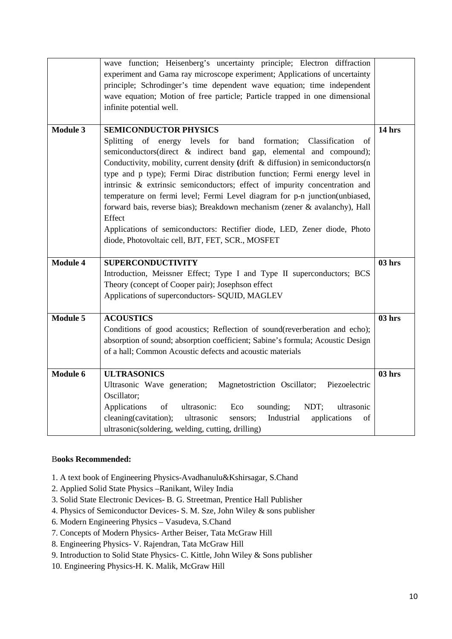|                 | wave function; Heisenberg's uncertainty principle; Electron diffraction<br>experiment and Gama ray microscope experiment; Applications of uncertainty |               |
|-----------------|-------------------------------------------------------------------------------------------------------------------------------------------------------|---------------|
|                 | principle; Schrodinger's time dependent wave equation; time independent                                                                               |               |
|                 | wave equation; Motion of free particle; Particle trapped in one dimensional                                                                           |               |
|                 | infinite potential well.                                                                                                                              |               |
| <b>Module 3</b> | <b>SEMICONDUCTOR PHYSICS</b>                                                                                                                          | 14 hrs        |
|                 | of energy levels for band formation;<br><b>Splitting</b><br>Classification<br>of                                                                      |               |
|                 | semiconductors(direct & indirect band gap, elemental and compound);                                                                                   |               |
|                 | Conductivity, mobility, current density (drift & diffusion) in semiconductors(n                                                                       |               |
|                 | type and p type); Fermi Dirac distribution function; Fermi energy level in                                                                            |               |
|                 | intrinsic & extrinsic semiconductors; effect of impurity concentration and                                                                            |               |
|                 | temperature on fermi level; Fermi Level diagram for p-n junction(unbiased,                                                                            |               |
|                 | forward bais, reverse bias); Breakdown mechanism (zener & avalanchy), Hall                                                                            |               |
|                 | Effect                                                                                                                                                |               |
|                 | Applications of semiconductors: Rectifier diode, LED, Zener diode, Photo                                                                              |               |
|                 | diode, Photovoltaic cell, BJT, FET, SCR., MOSFET                                                                                                      |               |
|                 |                                                                                                                                                       |               |
|                 |                                                                                                                                                       |               |
| <b>Module 4</b> | <b>SUPERCONDUCTIVITY</b>                                                                                                                              | 03 hrs        |
|                 | Introduction, Meissner Effect; Type I and Type II superconductors; BCS                                                                                |               |
|                 | Theory (concept of Cooper pair); Josephson effect                                                                                                     |               |
|                 | Applications of superconductors- SQUID, MAGLEV                                                                                                        |               |
|                 |                                                                                                                                                       |               |
| <b>Module 5</b> | <b>ACOUSTICS</b>                                                                                                                                      | <b>03 hrs</b> |
|                 | Conditions of good acoustics; Reflection of sound(reverberation and echo);                                                                            |               |
|                 | absorption of sound; absorption coefficient; Sabine's formula; Acoustic Design                                                                        |               |
|                 | of a hall; Common Acoustic defects and acoustic materials                                                                                             |               |
|                 |                                                                                                                                                       |               |
| Module 6        | <b>ULTRASONICS</b>                                                                                                                                    | $03$ hrs      |
|                 | Ultrasonic Wave generation;<br>Magnetostriction Oscillator;<br>Piezoelectric                                                                          |               |
|                 | Oscillator;                                                                                                                                           |               |
|                 | Applications<br>of<br>ultrasonic:<br>Eco<br>sounding;<br>NDT;<br>ultrasonic                                                                           |               |
|                 | cleaning(cavitation);<br>ultrasonic<br>Industrial<br>applications<br>sensors;<br>of<br>ultrasonic(soldering, welding, cutting, drilling)              |               |

## B**ooks Recommended:**

- 1. A text book of Engineering Physics-Avadhanulu&Kshirsagar, S.Chand
- 2. Applied Solid State Physics –Ranikant, Wiley India
- 3. Solid State Electronic Devices- B. G. Streetman, Prentice Hall Publisher
- 4. Physics of Semiconductor Devices- S. M. Sze, John Wiley & sons publisher
- 6. Modern Engineering Physics Vasudeva, S.Chand
- 7. Concepts of Modern Physics- Arther Beiser, Tata McGraw Hill
- 8. Engineering Physics- V. Rajendran, Tata McGraw Hill
- 9. Introduction to Solid State Physics- C. Kittle, John Wiley & Sons publisher
- 10. Engineering Physics-H. K. Malik, McGraw Hill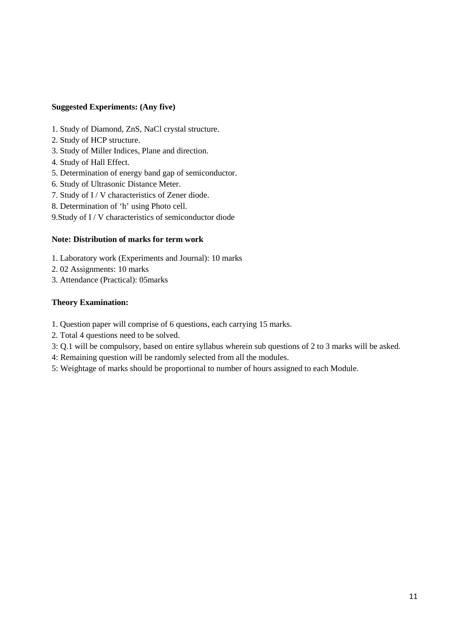#### **Suggested Experiments: (Any five)**

- 1. Study of Diamond, ZnS, NaCl crystal structure.
- 2. Study of HCP structure.
- 3. Study of Miller Indices, Plane and direction.
- 4. Study of Hall Effect.
- 5. Determination of energy band gap of semiconductor.
- 6. Study of Ultrasonic Distance Meter.
- 7. Study of I / V characteristics of Zener diode.
- 8. Determination of 'h' using Photo cell.
- 9.Study of I / V characteristics of semiconductor diode

#### **Note: Distribution of marks for term work**

- 1. Laboratory work (Experiments and Journal): 10 marks
- 2. 02 Assignments: 10 marks
- 3. Attendance (Practical): 05marks

#### **Theory Examination:**

- 1. Question paper will comprise of 6 questions, each carrying 15 marks.
- 2. Total 4 questions need to be solved.
- 3: Q.1 will be compulsory, based on entire syllabus wherein sub questions of 2 to 3 marks will be asked.
- 4: Remaining question will be randomly selected from all the modules.
- 5: Weightage of marks should be proportional to number of hours assigned to each Module.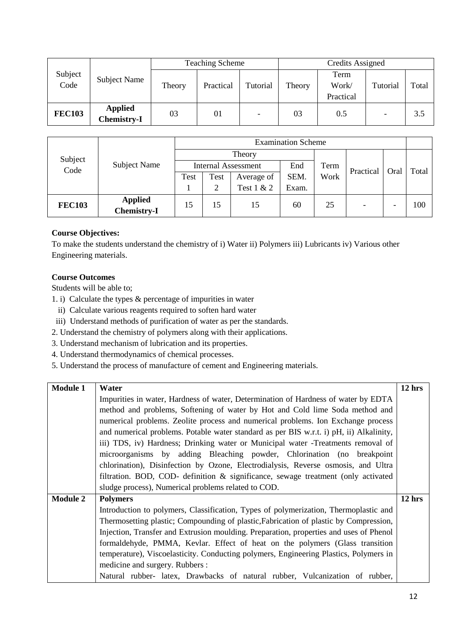| Subject<br>Code | Subject Name                         |        | <b>Teaching Scheme</b> |          | <b>Credits Assigned</b> |                            |                          |       |  |
|-----------------|--------------------------------------|--------|------------------------|----------|-------------------------|----------------------------|--------------------------|-------|--|
|                 |                                      | Theory | Practical              | Tutorial | Theory                  | Term<br>Work/<br>Practical | Tutorial                 | Total |  |
| <b>FEC103</b>   | <b>Applied</b><br><b>Chemistry-I</b> | 03     | 01                     |          | 03                      | 0.5                        | $\overline{\phantom{0}}$ | 3.5   |  |

|               | Subject Name                  | <b>Examination Scheme</b> |      |                            |       |           |                          |       |     |
|---------------|-------------------------------|---------------------------|------|----------------------------|-------|-----------|--------------------------|-------|-----|
| Subject       |                               |                           |      | Theory                     |       |           |                          |       |     |
| Code          |                               |                           |      | <b>Internal Assessment</b> | Term  | Practical | Oral                     | Total |     |
|               |                               | Test                      | Test | Average of                 | SEM.  | Work      |                          |       |     |
|               |                               |                           | 2    | Test 1 & 2                 | Exam. |           |                          |       |     |
| <b>FEC103</b> | <b>Applied</b><br>Chemistry-I | 15                        | 15   | 15                         | 60    | 25        | $\overline{\phantom{0}}$ | -     | 100 |

# **Course Objectives:**

To make the students understand the chemistry of i) Water ii) Polymers iii) Lubricants iv) Various other Engineering materials.

# **Course Outcomes**

Students will be able to;

- 1. i) Calculate the types & percentage of impurities in water
- ii) Calculate various reagents required to soften hard water
- iii) Understand methods of purification of water as per the standards.
- 2. Understand the chemistry of polymers along with their applications.
- 3. Understand mechanism of lubrication and its properties.
- 4. Understand thermodynamics of chemical processes.
- 5. Understand the process of manufacture of cement and Engineering materials.

| <b>Module 1</b> | Water                                                                                   | $12$ hrs |  |  |  |  |  |  |  |
|-----------------|-----------------------------------------------------------------------------------------|----------|--|--|--|--|--|--|--|
|                 | Impurities in water, Hardness of water, Determination of Hardness of water by EDTA      |          |  |  |  |  |  |  |  |
|                 | method and problems, Softening of water by Hot and Cold lime Soda method and            |          |  |  |  |  |  |  |  |
|                 | numerical problems. Zeolite process and numerical problems. Ion Exchange process        |          |  |  |  |  |  |  |  |
|                 | and numerical problems. Potable water standard as per BIS w.r.t. i) pH, ii) Alkalinity, |          |  |  |  |  |  |  |  |
|                 | iii) TDS, iv) Hardness; Drinking water or Municipal water -Treatments removal of        |          |  |  |  |  |  |  |  |
|                 | microorganisms by adding Bleaching powder, Chlorination (no breakpoint                  |          |  |  |  |  |  |  |  |
|                 | chlorination), Disinfection by Ozone, Electrodialysis, Reverse osmosis, and Ultra       |          |  |  |  |  |  |  |  |
|                 | filtration. BOD, COD- definition & significance, sewage treatment (only activated       |          |  |  |  |  |  |  |  |
|                 | sludge process), Numerical problems related to COD.                                     |          |  |  |  |  |  |  |  |
| <b>Module 2</b> | <b>Polymers</b>                                                                         | $12$ hrs |  |  |  |  |  |  |  |
|                 | Introduction to polymers, Classification, Types of polymerization, Thermoplastic and    |          |  |  |  |  |  |  |  |
|                 | Thermosetting plastic; Compounding of plastic, Fabrication of plastic by Compression,   |          |  |  |  |  |  |  |  |
|                 | Injection, Transfer and Extrusion moulding. Preparation, properties and uses of Phenol  |          |  |  |  |  |  |  |  |
|                 | formaldehyde, PMMA, Kevlar. Effect of heat on the polymers (Glass transition            |          |  |  |  |  |  |  |  |
|                 | temperature), Viscoelasticity. Conducting polymers, Engineering Plastics, Polymers in   |          |  |  |  |  |  |  |  |
|                 | medicine and surgery. Rubbers :                                                         |          |  |  |  |  |  |  |  |
|                 | Natural rubber- latex, Drawbacks of natural rubber, Vulcanization of rubber,            |          |  |  |  |  |  |  |  |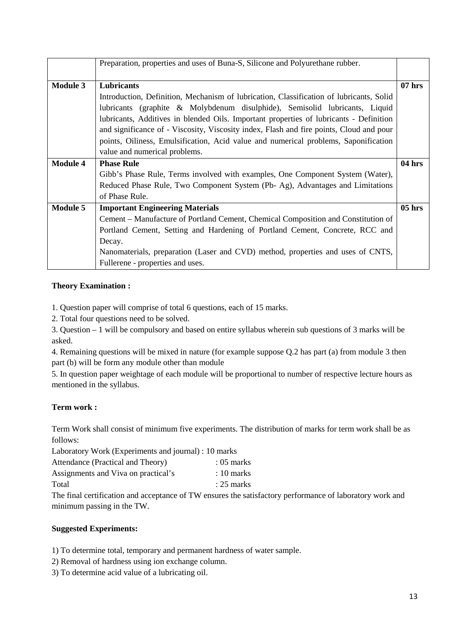|                 | Preparation, properties and uses of Buna-S, Silicone and Polyurethane rubber.           |          |  |  |  |  |  |  |  |
|-----------------|-----------------------------------------------------------------------------------------|----------|--|--|--|--|--|--|--|
| <b>Module 3</b> | Lubricants                                                                              | $07$ hrs |  |  |  |  |  |  |  |
|                 | Introduction, Definition, Mechanism of Iubrication, Classification of Iubricants, Solid |          |  |  |  |  |  |  |  |
|                 | lubricants (graphite & Molybdenum disulphide), Semisolid lubricants, Liquid             |          |  |  |  |  |  |  |  |
|                 | lubricants, Additives in blended Oils. Important properties of lubricants - Definition  |          |  |  |  |  |  |  |  |
|                 | and significance of - Viscosity, Viscosity index, Flash and fire points, Cloud and pour |          |  |  |  |  |  |  |  |
|                 | points, Oiliness, Emulsification, Acid value and numerical problems, Saponification     |          |  |  |  |  |  |  |  |
|                 | value and numerical problems.                                                           |          |  |  |  |  |  |  |  |
| <b>Module 4</b> | <b>Phase Rule</b>                                                                       | 04 hrs   |  |  |  |  |  |  |  |
|                 | Gibb's Phase Rule, Terms involved with examples, One Component System (Water),          |          |  |  |  |  |  |  |  |
|                 | Reduced Phase Rule, Two Component System (Pb-Ag), Advantages and Limitations            |          |  |  |  |  |  |  |  |
|                 | of Phase Rule.                                                                          |          |  |  |  |  |  |  |  |
| <b>Module 5</b> | <b>Important Engineering Materials</b>                                                  | $05$ hrs |  |  |  |  |  |  |  |
|                 | Cement – Manufacture of Portland Cement, Chemical Composition and Constitution of       |          |  |  |  |  |  |  |  |
|                 | Portland Cement, Setting and Hardening of Portland Cement, Concrete, RCC and            |          |  |  |  |  |  |  |  |
|                 | Decay.                                                                                  |          |  |  |  |  |  |  |  |
|                 | Nanomaterials, preparation (Laser and CVD) method, properties and uses of CNTS,         |          |  |  |  |  |  |  |  |
|                 | Fullerene - properties and uses.                                                        |          |  |  |  |  |  |  |  |

## **Theory Examination :**

1. Question paper will comprise of total 6 questions, each of 15 marks.

2. Total four questions need to be solved.

3. Question – 1 will be compulsory and based on entire syllabus wherein sub questions of 3 marks will be asked.

4. Remaining questions will be mixed in nature (for example suppose Q.2 has part (a) from module 3 then part (b) will be form any module other than module

5. In question paper weightage of each module will be proportional to number of respective lecture hours as mentioned in the syllabus.

# **Term work :**

Term Work shall consist of minimum five experiments. The distribution of marks for term work shall be as follows:

Laboratory Work (Experiments and journal) : 10 marks

| Attendance (Practical and Theory)   | $:05$ marks  |
|-------------------------------------|--------------|
| Assignments and Viva on practical's | $: 10$ marks |
| Total                               | $: 25$ marks |

The final certification and acceptance of TW ensures the satisfactory performance of laboratory work and minimum passing in the TW.

## **Suggested Experiments:**

1) To determine total, temporary and permanent hardness of water sample.

- 2) Removal of hardness using ion exchange column.
- 3) To determine acid value of a lubricating oil.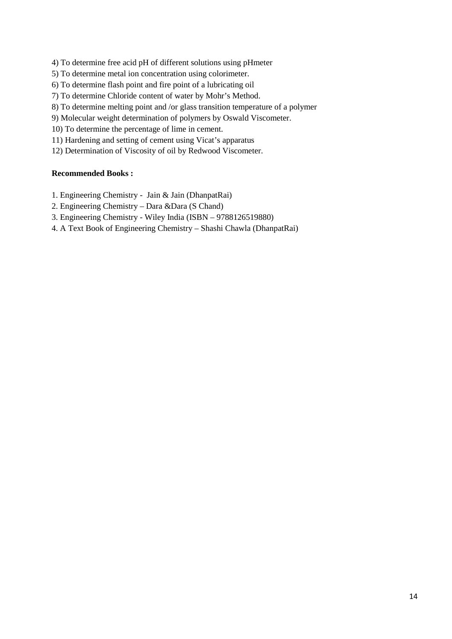- 4) To determine free acid pH of different solutions using pHmeter
- 5) To determine metal ion concentration using colorimeter.
- 6) To determine flash point and fire point of a lubricating oil
- 7) To determine Chloride content of water by Mohr's Method.
- 8) To determine melting point and /or glass transition temperature of a polymer
- 9) Molecular weight determination of polymers by Oswald Viscometer.
- 10) To determine the percentage of lime in cement.
- 11) Hardening and setting of cement using Vicat's apparatus
- 12) Determination of Viscosity of oil by Redwood Viscometer.

#### **Recommended Books :**

- 1. Engineering Chemistry Jain & Jain (DhanpatRai)
- 2. Engineering Chemistry Dara &Dara (S Chand)
- 3. Engineering Chemistry Wiley India (ISBN 9788126519880)
- 4. A Text Book of Engineering Chemistry Shashi Chawla (DhanpatRai)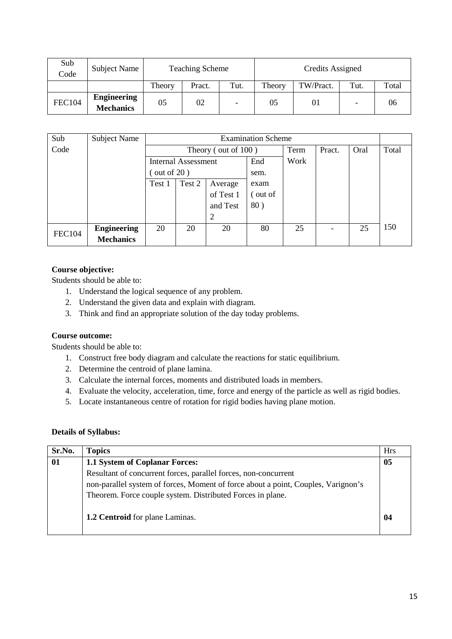| Sub<br>Code   | Subject Name                           |        | <b>Teaching Scheme</b> |  | Credits Assigned |           |                   |       |  |
|---------------|----------------------------------------|--------|------------------------|--|------------------|-----------|-------------------|-------|--|
|               |                                        | Theory | Tut.<br>Pract.         |  |                  | TW/Pract. | Tut.              | Total |  |
| <b>FEC104</b> | <b>Engineering</b><br><b>Mechanics</b> | 05     | 02                     |  | 05               | 01        | $\qquad \qquad -$ | 06    |  |

| Sub           | <b>Subject Name</b> |                     | <b>Examination Scheme</b> |                        |         |      |                          |      |       |
|---------------|---------------------|---------------------|---------------------------|------------------------|---------|------|--------------------------|------|-------|
| Code          |                     |                     |                           | Theory (out of $100$ ) |         | Term | Pract.                   | Oral | Total |
|               |                     | Internal Assessment |                           |                        | End     | Work |                          |      |       |
|               |                     |                     | $($ out of 20)<br>sem.    |                        |         |      |                          |      |       |
|               |                     | Test 1              | Test 2                    | Average                | exam    |      |                          |      |       |
|               |                     |                     |                           | of Test 1              | (out of |      |                          |      |       |
|               |                     |                     |                           | and Test               | 80)     |      |                          |      |       |
|               |                     |                     |                           |                        |         |      |                          |      |       |
| <b>FEC104</b> | <b>Engineering</b>  | 20                  | 20                        | 20                     | 80      | 25   | $\overline{\phantom{a}}$ | 25   | 150   |
|               | <b>Mechanics</b>    |                     |                           |                        |         |      |                          |      |       |

# **Course objective:**

Students should be able to:

- 1. Understand the logical sequence of any problem.
- 2. Understand the given data and explain with diagram.
- 3. Think and find an appropriate solution of the day today problems.

## **Course outcome:**

Students should be able to:

- 1. Construct free body diagram and calculate the reactions for static equilibrium.
- 2. Determine the centroid of plane lamina.
- 3. Calculate the internal forces, moments and distributed loads in members.
- 4. Evaluate the velocity, acceleration, time, force and energy of the particle as well as rigid bodies.
- 5. Locate instantaneous centre of rotation for rigid bodies having plane motion.

## **Details of Syllabus:**

| Sr.No. | <b>Topics</b>                                                                     | Hrs |
|--------|-----------------------------------------------------------------------------------|-----|
| 01     | 1.1 System of Coplanar Forces:                                                    | 05  |
|        | Resultant of concurrent forces, parallel forces, non-concurrent                   |     |
|        | non-parallel system of forces, Moment of force about a point, Couples, Varignon's |     |
|        | Theorem. Force couple system. Distributed Forces in plane.                        |     |
|        | 1.2 Centroid for plane Laminas.                                                   | 04  |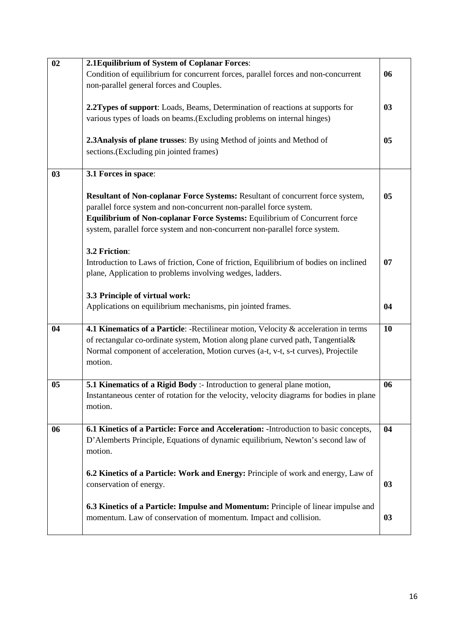| 02             | 2.1 Equilibrium of System of Coplanar Forces:                                            |    |
|----------------|------------------------------------------------------------------------------------------|----|
|                | Condition of equilibrium for concurrent forces, parallel forces and non-concurrent       | 06 |
|                | non-parallel general forces and Couples.                                                 |    |
|                |                                                                                          |    |
|                | 2.2Types of support: Loads, Beams, Determination of reactions at supports for            | 03 |
|                | various types of loads on beams. (Excluding problems on internal hinges)                 |    |
|                |                                                                                          |    |
|                | 2.3Analysis of plane trusses: By using Method of joints and Method of                    | 05 |
|                | sections.(Excluding pin jointed frames)                                                  |    |
|                |                                                                                          |    |
| 03             | 3.1 Forces in space:                                                                     |    |
|                |                                                                                          |    |
|                | Resultant of Non-coplanar Force Systems: Resultant of concurrent force system,           | 05 |
|                | parallel force system and non-concurrent non-parallel force system.                      |    |
|                | Equilibrium of Non-coplanar Force Systems: Equilibrium of Concurrent force               |    |
|                | system, parallel force system and non-concurrent non-parallel force system.              |    |
|                |                                                                                          |    |
|                | 3.2 Friction:                                                                            |    |
|                | Introduction to Laws of friction, Cone of friction, Equilibrium of bodies on inclined    | 07 |
|                | plane, Application to problems involving wedges, ladders.                                |    |
|                | 3.3 Principle of virtual work:                                                           |    |
|                | Applications on equilibrium mechanisms, pin jointed frames.                              | 04 |
|                |                                                                                          |    |
| 04             | 4.1 Kinematics of a Particle: -Rectilinear motion, Velocity & acceleration in terms      | 10 |
|                | of rectangular co-ordinate system, Motion along plane curved path, Tangential&           |    |
|                | Normal component of acceleration, Motion curves (a-t, v-t, s-t curves), Projectile       |    |
|                | motion.                                                                                  |    |
|                |                                                                                          |    |
| 0 <sub>5</sub> | 5.1 Kinematics of a Rigid Body :- Introduction to general plane motion,                  | 06 |
|                | Instantaneous center of rotation for the velocity, velocity diagrams for bodies in plane |    |
|                | motion.                                                                                  |    |
|                |                                                                                          |    |
| 06             | 6.1 Kinetics of a Particle: Force and Acceleration: - Introduction to basic concepts,    | 04 |
|                | D'Alemberts Principle, Equations of dynamic equilibrium, Newton's second law of          |    |
|                | motion.                                                                                  |    |
|                |                                                                                          |    |
|                | 6.2 Kinetics of a Particle: Work and Energy: Principle of work and energy, Law of        |    |
|                | conservation of energy.                                                                  | 03 |
|                |                                                                                          |    |
|                | 6.3 Kinetics of a Particle: Impulse and Momentum: Principle of linear impulse and        |    |
|                | momentum. Law of conservation of momentum. Impact and collision.                         | 03 |
|                |                                                                                          |    |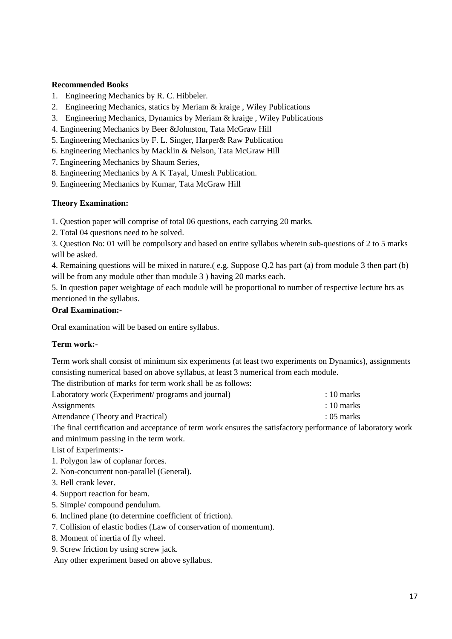#### **Recommended Books**

- 1. Engineering Mechanics by R. C. Hibbeler.
- 2. Engineering Mechanics, statics by Meriam & kraige , Wiley Publications
- 3. Engineering Mechanics, Dynamics by Meriam & kraige , Wiley Publications
- 4. Engineering Mechanics by Beer &Johnston, Tata McGraw Hill
- 5. Engineering Mechanics by F. L. Singer, Harper& Raw Publication
- 6. Engineering Mechanics by Macklin & Nelson, Tata McGraw Hill
- 7. Engineering Mechanics by Shaum Series,
- 8. Engineering Mechanics by A K Tayal, Umesh Publication.
- 9. Engineering Mechanics by Kumar, Tata McGraw Hill

#### **Theory Examination:**

1. Question paper will comprise of total 06 questions, each carrying 20 marks.

2. Total 04 questions need to be solved.

3. Question No: 01 will be compulsory and based on entire syllabus wherein sub-questions of 2 to 5 marks will be asked.

4. Remaining questions will be mixed in nature.( e.g. Suppose Q.2 has part (a) from module 3 then part (b) will be from any module other than module 3 ) having 20 marks each.

5. In question paper weightage of each module will be proportional to number of respective lecture hrs as mentioned in the syllabus.

#### **Oral Examination:-**

Oral examination will be based on entire syllabus.

#### **Term work:-**

Term work shall consist of minimum six experiments (at least two experiments on Dynamics), assignments consisting numerical based on above syllabus, at least 3 numerical from each module.

The distribution of marks for term work shall be as follows:

| Laboratory work (Experiment/ programs and journal) |  |  | $: 10 \text{ marks}$ |
|----------------------------------------------------|--|--|----------------------|
| Assignments                                        |  |  | $:10$ marks          |
| Attendance (Theory and Practical)                  |  |  | $:05$ marks          |
|                                                    |  |  |                      |

The final certification and acceptance of term work ensures the satisfactory performance of laboratory work and minimum passing in the term work.

List of Experiments:-

- 1. Polygon law of coplanar forces.
- 2. Non-concurrent non-parallel (General).
- 3. Bell crank lever.
- 4. Support reaction for beam.
- 5. Simple/ compound pendulum.
- 6. Inclined plane (to determine coefficient of friction).
- 7. Collision of elastic bodies (Law of conservation of momentum).
- 8. Moment of inertia of fly wheel.
- 9. Screw friction by using screw jack.

Any other experiment based on above syllabus.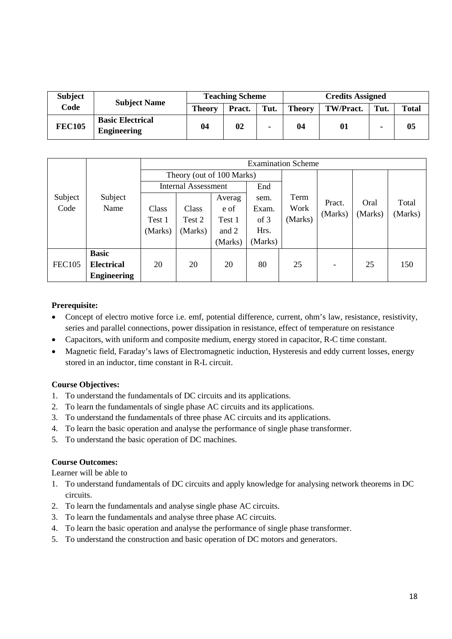| <b>Subject</b> | <b>Subject Name</b>                           | <b>Teaching Scheme</b> |        |      | <b>Credits Assigned</b> |           |      |              |  |
|----------------|-----------------------------------------------|------------------------|--------|------|-------------------------|-----------|------|--------------|--|
| Code           |                                               | Theory                 | Pract. | Tut. | Theory                  | TW/Pract. | Tut. | <b>Total</b> |  |
| <b>FEC105</b>  | <b>Basic Electrical</b><br><b>Engineering</b> | 04                     | 02     | ٠    | 04                      | 01        | ۰    | 05           |  |

|               |                    | <b>Examination Scheme</b>  |                           |         |         |         |                          |         |         |  |  |
|---------------|--------------------|----------------------------|---------------------------|---------|---------|---------|--------------------------|---------|---------|--|--|
|               |                    |                            | Theory (out of 100 Marks) |         |         |         |                          |         |         |  |  |
|               |                    | <b>Internal Assessment</b> |                           |         | End     |         |                          |         |         |  |  |
| Subject       | Subject            |                            |                           | Averag  | sem.    | Term    | Pract.                   | Oral    | Total   |  |  |
| Code          | Name               | Class                      | Class                     | e of    | Exam.   | Work    | (Marks)                  | (Marks) | (Marks) |  |  |
|               |                    | Test 1                     | Test 2                    | Test 1  | of 3    | (Marks) |                          |         |         |  |  |
|               |                    | (Marks)                    | (Marks)                   | and 2   | Hrs.    |         |                          |         |         |  |  |
|               |                    |                            |                           | (Marks) | (Marks) |         |                          |         |         |  |  |
|               | <b>Basic</b>       |                            |                           |         |         |         |                          |         |         |  |  |
| <b>FEC105</b> | <b>Electrical</b>  | 20                         | 20                        | 20      | 80      | 25      | $\overline{\phantom{a}}$ | 25      | 150     |  |  |
|               | <b>Engineering</b> |                            |                           |         |         |         |                          |         |         |  |  |

#### **Prerequisite:**

- Concept of electro motive force i.e. emf, potential difference, current, ohm's law, resistance, resistivity, series and parallel connections, power dissipation in resistance, effect of temperature on resistance
- Capacitors, with uniform and composite medium, energy stored in capacitor, R-C time constant.
- Magnetic field, Faraday's laws of Electromagnetic induction, Hysteresis and eddy current losses, energy stored in an inductor, time constant in R-L circuit.

## **Course Objectives:**

- 1. To understand the fundamentals of DC circuits and its applications.
- 2. To learn the fundamentals of single phase AC circuits and its applications.
- 3. To understand the fundamentals of three phase AC circuits and its applications.
- 4. To learn the basic operation and analyse the performance of single phase transformer.
- 5. To understand the basic operation of DC machines.

#### **Course Outcomes:**

Learner will be able to

- 1. To understand fundamentals of DC circuits and apply knowledge for analysing network theorems in DC circuits.
- 2. To learn the fundamentals and analyse single phase AC circuits.
- 3. To learn the fundamentals and analyse three phase AC circuits.
- 4. To learn the basic operation and analyse the performance of single phase transformer.
- 5. To understand the construction and basic operation of DC motors and generators.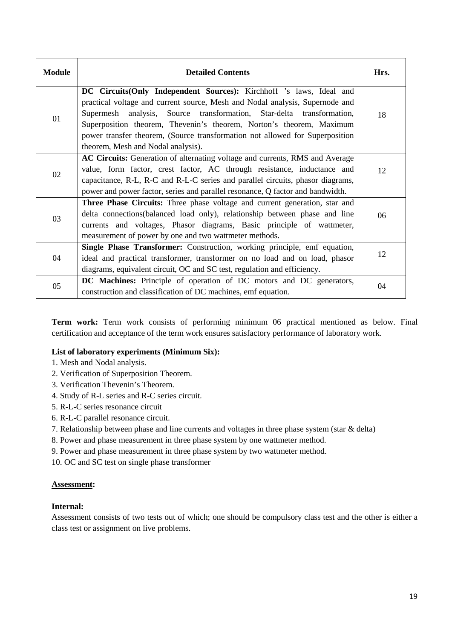| <b>Module</b> | <b>Detailed Contents</b>                                                       | Hrs. |
|---------------|--------------------------------------------------------------------------------|------|
|               | <b>DC Circuits (Only Independent Sources):</b> Kirchhoff 's laws, Ideal and    |      |
|               | practical voltage and current source, Mesh and Nodal analysis, Supernode and   |      |
| 01            | Supermesh analysis, Source transformation, Star-delta transformation,          | 18   |
|               | Superposition theorem, Thevenin's theorem, Norton's theorem, Maximum           |      |
|               | power transfer theorem, (Source transformation not allowed for Superposition   |      |
|               | theorem, Mesh and Nodal analysis).                                             |      |
|               | AC Circuits: Generation of alternating voltage and currents, RMS and Average   |      |
| 02            | value, form factor, crest factor, AC through resistance, inductance and        | 12   |
|               | capacitance, R-L, R-C and R-L-C series and parallel circuits, phasor diagrams, |      |
|               | power and power factor, series and parallel resonance, Q factor and bandwidth. |      |
|               | Three Phase Circuits: Three phase voltage and current generation, star and     |      |
| 03            | delta connections(balanced load only), relationship between phase and line     | 06   |
|               | currents and voltages, Phasor diagrams, Basic principle of wattmeter,          |      |
|               | measurement of power by one and two wattmeter methods.                         |      |
|               | Single Phase Transformer: Construction, working principle, emf equation,       |      |
| 04            | ideal and practical transformer, transformer on no load and on load, phasor    | 12   |
|               | diagrams, equivalent circuit, OC and SC test, regulation and efficiency.       |      |
|               | DC Machines: Principle of operation of DC motors and DC generators,            |      |
| 05            | construction and classification of DC machines, emf equation.                  | 04   |

**Term work:** Term work consists of performing minimum 06 practical mentioned as below. Final certification and acceptance of the term work ensures satisfactory performance of laboratory work.

## **List of laboratory experiments (Minimum Six):**

- 1. Mesh and Nodal analysis.
- 2. Verification of Superposition Theorem.
- 3. Verification Thevenin's Theorem.
- 4. Study of R-L series and R-C series circuit.
- 5. R-L-C series resonance circuit
- 6. R-L-C parallel resonance circuit.
- 7. Relationship between phase and line currents and voltages in three phase system (star & delta)
- 8. Power and phase measurement in three phase system by one wattmeter method.
- 9. Power and phase measurement in three phase system by two wattmeter method.
- 10. OC and SC test on single phase transformer

#### **Assessment:**

#### **Internal:**

Assessment consists of two tests out of which; one should be compulsory class test and the other is either a class test or assignment on live problems.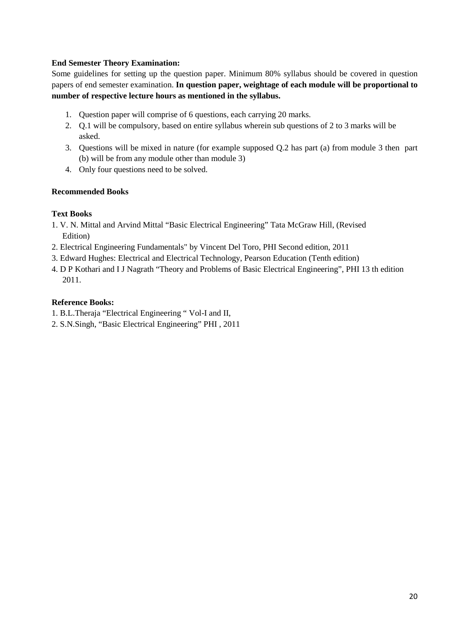## **End Semester Theory Examination:**

Some guidelines for setting up the question paper. Minimum 80% syllabus should be covered in question papers of end semester examination. **In question paper, weightage of each module will be proportional to number of respective lecture hours as mentioned in the syllabus.**

- 1. Question paper will comprise of 6 questions, each carrying 20 marks.
- 2. Q.1 will be compulsory, based on entire syllabus wherein sub questions of 2 to 3 marks will be asked.
- 3. Questions will be mixed in nature (for example supposed Q.2 has part (a) from module 3 then part (b) will be from any module other than module 3)
- 4. Only four questions need to be solved.

## **Recommended Books**

## **Text Books**

- 1. V. N. Mittal and Arvind Mittal "Basic Electrical Engineering" Tata McGraw Hill, (Revised Edition)
- 2. Electrical Engineering Fundamentals" by Vincent Del Toro, PHI Second edition, 2011
- 3. Edward Hughes: Electrical and Electrical Technology, Pearson Education (Tenth edition)
- 4. D P Kothari and I J Nagrath "Theory and Problems of Basic Electrical Engineering", PHI 13 th edition 2011.

## **Reference Books:**

- 1. B.L.Theraja "Electrical Engineering " Vol-I and II,
- 2. S.N.Singh, "Basic Electrical Engineering" PHI , 2011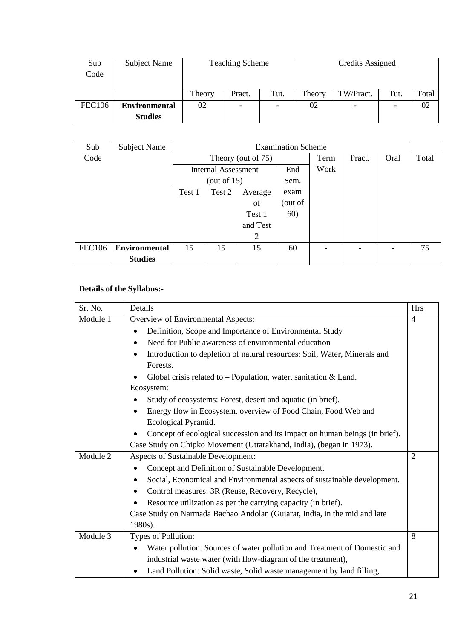| Sub           | Subject Name         |        | <b>Teaching Scheme</b> |                          |        | Credits Assigned         |      |       |
|---------------|----------------------|--------|------------------------|--------------------------|--------|--------------------------|------|-------|
| Code          |                      |        |                        |                          |        |                          |      |       |
|               |                      |        |                        |                          |        |                          |      |       |
|               |                      | Theory | Pract.                 | Tut.                     | Theory | TW/Pract.                | Tut. | Total |
| <b>FEC106</b> | <b>Environmental</b> | 02     |                        | $\overline{\phantom{a}}$ | 02     | $\overline{\phantom{a}}$ |      | 02    |
|               | <b>Studies</b>       |        |                        |                          |        |                          |      |       |

| Sub           | <b>Subject Name</b>  |                             | <b>Examination Scheme</b>  |                    |                          |                          |        |      |       |  |
|---------------|----------------------|-----------------------------|----------------------------|--------------------|--------------------------|--------------------------|--------|------|-------|--|
| Code          |                      |                             |                            | Theory (out of 75) |                          | Term                     | Pract. | Oral | Total |  |
|               |                      |                             | <b>Internal Assessment</b> |                    | End                      | Work                     |        |      |       |  |
|               |                      |                             | (out of $15$ )             |                    | Sem.                     |                          |        |      |       |  |
|               |                      | Test 1<br>Test 2<br>Average |                            |                    | exam                     |                          |        |      |       |  |
|               |                      |                             |                            | of                 | out of)                  |                          |        |      |       |  |
|               |                      |                             |                            | Test 1             | 60)                      |                          |        |      |       |  |
|               |                      |                             |                            | and Test           |                          |                          |        |      |       |  |
|               |                      |                             | 2                          |                    |                          |                          |        |      |       |  |
| <b>FEC106</b> | <b>Environmental</b> | 15<br>15<br>15              |                            | 60                 | $\overline{\phantom{0}}$ | $\overline{\phantom{0}}$ |        | 75   |       |  |
|               | <b>Studies</b>       |                             |                            |                    |                          |                          |        |      |       |  |

# **Details of the Syllabus:-**

| Sr. No.  | Details                                                                               | <b>Hrs</b>     |
|----------|---------------------------------------------------------------------------------------|----------------|
| Module 1 | Overview of Environmental Aspects:                                                    | 4              |
|          | Definition, Scope and Importance of Environmental Study<br>$\bullet$                  |                |
|          | Need for Public awareness of environmental education<br>$\bullet$                     |                |
|          | Introduction to depletion of natural resources: Soil, Water, Minerals and             |                |
|          | Forests.                                                                              |                |
|          | Global crisis related to $-$ Population, water, sanitation & Land.                    |                |
|          | Ecosystem:                                                                            |                |
|          | Study of ecosystems: Forest, desert and aquatic (in brief).                           |                |
|          | Energy flow in Ecosystem, overview of Food Chain, Food Web and                        |                |
|          | Ecological Pyramid.                                                                   |                |
|          | Concept of ecological succession and its impact on human beings (in brief).           |                |
|          | Case Study on Chipko Movement (Uttarakhand, India), (began in 1973).                  |                |
| Module 2 | Aspects of Sustainable Development:                                                   | $\overline{2}$ |
|          | Concept and Definition of Sustainable Development.                                    |                |
|          | Social, Economical and Environmental aspects of sustainable development.<br>$\bullet$ |                |
|          | Control measures: 3R (Reuse, Recovery, Recycle),                                      |                |
|          | Resource utilization as per the carrying capacity (in brief).                         |                |
|          | Case Study on Narmada Bachao Andolan (Gujarat, India, in the mid and late             |                |
|          | 1980s).                                                                               |                |
| Module 3 | Types of Pollution:                                                                   | 8              |
|          | Water pollution: Sources of water pollution and Treatment of Domestic and             |                |
|          | industrial waste water (with flow-diagram of the treatment),                          |                |
|          | Land Pollution: Solid waste, Solid waste management by land filling,                  |                |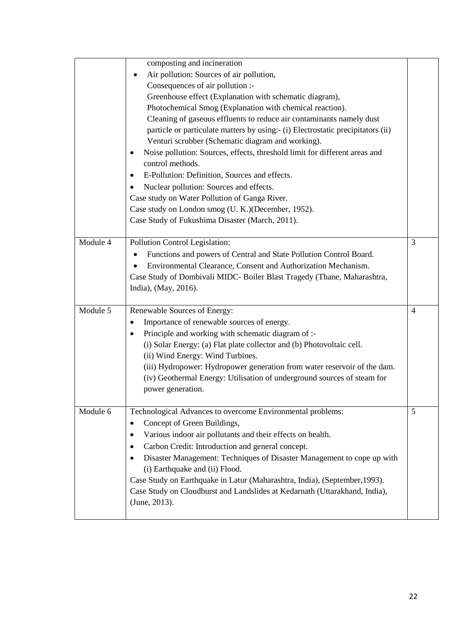|          | composting and incineration                                                             |                |
|----------|-----------------------------------------------------------------------------------------|----------------|
|          | Air pollution: Sources of air pollution,<br>$\bullet$                                   |                |
|          | Consequences of air pollution :-                                                        |                |
|          | Greenhouse effect (Explanation with schematic diagram),                                 |                |
|          | Photochemical Smog (Explanation with chemical reaction).                                |                |
|          | Cleaning of gaseous effluents to reduce air contaminants namely dust                    |                |
|          | particle or particulate matters by using:- (i) Electrostatic precipitators (ii)         |                |
|          | Venturi scrubber (Schematic diagram and working).                                       |                |
|          | Noise pollution: Sources, effects, threshold limit for different areas and<br>$\bullet$ |                |
|          | control methods.                                                                        |                |
|          | E-Pollution: Definition, Sources and effects.<br>$\bullet$                              |                |
|          | Nuclear pollution: Sources and effects.<br>$\bullet$                                    |                |
|          | Case study on Water Pollution of Ganga River.                                           |                |
|          | Case study on London smog (U. K.) (December, 1952).                                     |                |
|          | Case Study of Fukushima Disaster (March, 2011).                                         |                |
|          |                                                                                         |                |
| Module 4 | Pollution Control Legislation:                                                          | 3              |
|          | Functions and powers of Central and State Pollution Control Board.                      |                |
|          | Environmental Clearance, Consent and Authorization Mechanism.                           |                |
|          | Case Study of Dombivali MIDC- Boiler Blast Tragedy (Thane, Maharashtra,                 |                |
|          | India), (May, 2016).                                                                    |                |
|          |                                                                                         |                |
| Module 5 | Renewable Sources of Energy:                                                            | $\overline{4}$ |
|          | Importance of renewable sources of energy.<br>$\bullet$                                 |                |
|          | Principle and working with schematic diagram of :-<br>$\bullet$                         |                |
|          | (i) Solar Energy: (a) Flat plate collector and (b) Photovoltaic cell.                   |                |
|          | (ii) Wind Energy: Wind Turbines.                                                        |                |
|          | (iii) Hydropower: Hydropower generation from water reservoir of the dam.                |                |
|          | (iv) Geothermal Energy: Utilisation of underground sources of steam for                 |                |
|          | power generation.                                                                       |                |
|          |                                                                                         |                |
| Module 6 | Technological Advances to overcome Environmental problems:                              | 5              |
|          | Concept of Green Buildings,<br>٠                                                        |                |
|          | Various indoor air pollutants and their effects on health.<br>٠                         |                |
|          | Carbon Credit: Introduction and general concept.<br>٠                                   |                |
|          | Disaster Management: Techniques of Disaster Management to cope up with                  |                |
|          | (i) Earthquake and (ii) Flood.                                                          |                |
|          | Case Study on Earthquake in Latur (Maharashtra, India), (September, 1993).              |                |
|          | Case Study on Cloudburst and Landslides at Kedarnath (Uttarakhand, India),              |                |
|          | (June, 2013).                                                                           |                |
|          |                                                                                         |                |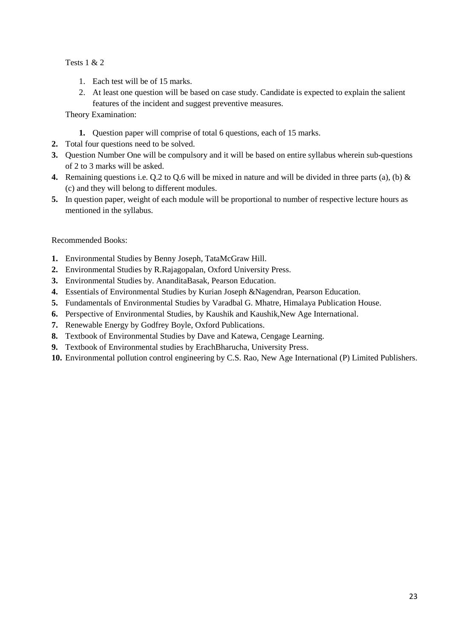Tests 1 & 2

- 1. Each test will be of 15 marks.
- 2. At least one question will be based on case study. Candidate is expected to explain the salient features of the incident and suggest preventive measures.

Theory Examination:

- **1.** Question paper will comprise of total 6 questions, each of 15 marks.
- **2.** Total four questions need to be solved.
- **3.** Question Number One will be compulsory and it will be based on entire syllabus wherein sub-questions of 2 to 3 marks will be asked.
- **4.** Remaining questions i.e. Q.2 to Q.6 will be mixed in nature and will be divided in three parts (a), (b) & (c) and they will belong to different modules.
- **5.** In question paper, weight of each module will be proportional to number of respective lecture hours as mentioned in the syllabus.

# Recommended Books:

- **1.** Environmental Studies by Benny Joseph, TataMcGraw Hill.
- **2.** Environmental Studies by R.Rajagopalan, Oxford University Press.
- **3.** Environmental Studies by. AnanditaBasak, Pearson Education.
- **4.** Essentials of Environmental Studies by Kurian Joseph &Nagendran, Pearson Education.
- **5.** Fundamentals of Environmental Studies by Varadbal G. Mhatre, Himalaya Publication House.
- **6.** Perspective of Environmental Studies, by Kaushik and Kaushik,New Age International.
- **7.** Renewable Energy by Godfrey Boyle, Oxford Publications.
- **8.** Textbook of Environmental Studies by Dave and Katewa, Cengage Learning.
- **9.** Textbook of Environmental studies by ErachBharucha, University Press.
- **10.** Environmental pollution control engineering by C.S. Rao, New Age International (P) Limited Publishers.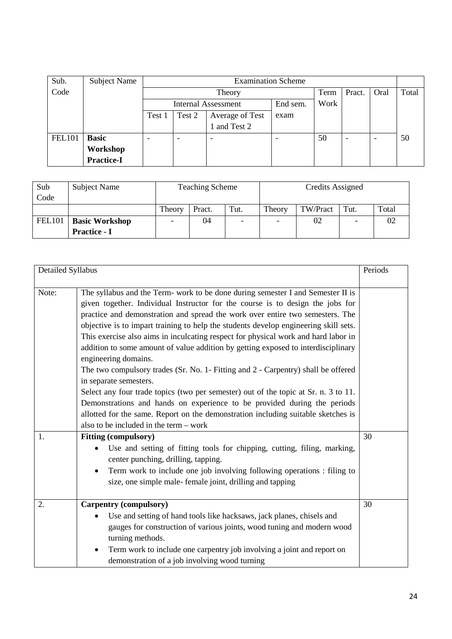| Sub.          | Subject Name      |                          | <b>Examination Scheme</b>     |                     |          |      |        |      |       |
|---------------|-------------------|--------------------------|-------------------------------|---------------------|----------|------|--------|------|-------|
| Code          |                   |                          |                               | Theory              |          | Term | Pract. | Oral | Total |
|               |                   |                          |                               | Internal Assessment | End sem. | Work |        |      |       |
|               |                   | Test 1                   | Test 2<br>Average of Test     |                     |          |      |        |      |       |
|               |                   |                          |                               | and Test 2          |          |      |        |      |       |
| <b>FEL101</b> | <b>Basic</b>      | $\overline{\phantom{a}}$ | $\overline{\phantom{0}}$<br>- |                     |          | 50   |        | -    | 50    |
|               | Workshop          |                          |                               |                     |          |      |        |      |       |
|               | <b>Practice-I</b> |                          |                               |                     |          |      |        |      |       |

| Sub<br>Code   | <b>Subject Name</b>                          |                                | <b>Teaching Scheme</b> |      | Credits Assigned         |          |      |       |
|---------------|----------------------------------------------|--------------------------------|------------------------|------|--------------------------|----------|------|-------|
|               |                                              | Theory                         | Pract.                 | Tut. | Theory                   | TW/Pract | Tut. | Total |
| <b>FEL101</b> | <b>Basic Workshop</b><br><b>Practice - I</b> | 04<br>$\overline{\phantom{0}}$ |                        |      | $\overline{\phantom{a}}$ | 02       |      | 02    |

| Detailed Syllabus |                                                                                      | Periods |
|-------------------|--------------------------------------------------------------------------------------|---------|
|                   |                                                                                      |         |
| Note:             | The syllabus and the Term- work to be done during semester I and Semester II is      |         |
|                   | given together. Individual Instructor for the course is to design the jobs for       |         |
|                   | practice and demonstration and spread the work over entire two semesters. The        |         |
|                   | objective is to impart training to help the students develop engineering skill sets. |         |
|                   | This exercise also aims in inculcating respect for physical work and hard labor in   |         |
|                   | addition to some amount of value addition by getting exposed to interdisciplinary    |         |
|                   | engineering domains.                                                                 |         |
|                   | The two compulsory trades (Sr. No. 1- Fitting and 2 - Carpentry) shall be offered    |         |
|                   | in separate semesters.                                                               |         |
|                   | Select any four trade topics (two per semester) out of the topic at Sr. n. 3 to 11.  |         |
|                   | Demonstrations and hands on experience to be provided during the periods             |         |
|                   | allotted for the same. Report on the demonstration including suitable sketches is    |         |
|                   | also to be included in the term – work                                               |         |
| 1.                | <b>Fitting (compulsory)</b>                                                          | 30      |
|                   | Use and setting of fitting tools for chipping, cutting, filing, marking,             |         |
|                   | center punching, drilling, tapping.                                                  |         |
|                   | Term work to include one job involving following operations : filing to<br>$\bullet$ |         |
|                   | size, one simple male-female joint, drilling and tapping                             |         |
|                   |                                                                                      |         |
| 2.                | <b>Carpentry (compulsory)</b>                                                        | 30      |
|                   | Use and setting of hand tools like hacksaws, jack planes, chisels and<br>$\bullet$   |         |
|                   | gauges for construction of various joints, wood tuning and modern wood               |         |
|                   | turning methods.                                                                     |         |
|                   | $\bullet$                                                                            |         |
|                   | Term work to include one carpentry job involving a joint and report on               |         |
|                   | demonstration of a job involving wood turning                                        |         |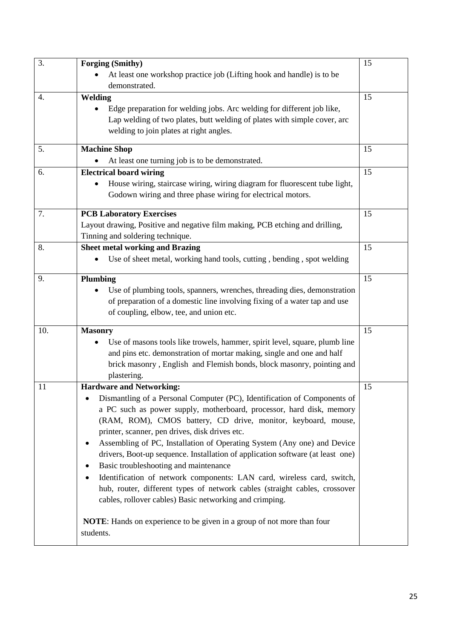| 3.  | <b>Forging (Smithy)</b>                                                                 | 15 |
|-----|-----------------------------------------------------------------------------------------|----|
|     | At least one workshop practice job (Lifting hook and handle) is to be                   |    |
|     | demonstrated.                                                                           |    |
| 4.  | Welding                                                                                 | 15 |
|     | Edge preparation for welding jobs. Arc welding for different job like,                  |    |
|     | Lap welding of two plates, butt welding of plates with simple cover, arc                |    |
|     | welding to join plates at right angles.                                                 |    |
|     |                                                                                         |    |
| 5.  | <b>Machine Shop</b>                                                                     | 15 |
|     | At least one turning job is to be demonstrated.                                         |    |
| 6.  | <b>Electrical board wiring</b>                                                          | 15 |
|     | House wiring, staircase wiring, wiring diagram for fluorescent tube light,              |    |
|     | Godown wiring and three phase wiring for electrical motors.                             |    |
| 7.  | <b>PCB Laboratory Exercises</b>                                                         | 15 |
|     | Layout drawing, Positive and negative film making, PCB etching and drilling,            |    |
|     | Tinning and soldering technique.                                                        |    |
| 8.  | <b>Sheet metal working and Brazing</b>                                                  | 15 |
|     | Use of sheet metal, working hand tools, cutting, bending, spot welding                  |    |
|     |                                                                                         |    |
| 9.  | Plumbing                                                                                | 15 |
|     | Use of plumbing tools, spanners, wrenches, threading dies, demonstration                |    |
|     | of preparation of a domestic line involving fixing of a water tap and use               |    |
|     | of coupling, elbow, tee, and union etc.                                                 |    |
| 10. | <b>Masonry</b>                                                                          | 15 |
|     | Use of masons tools like trowels, hammer, spirit level, square, plumb line<br>$\bullet$ |    |
|     | and pins etc. demonstration of mortar making, single and one and half                   |    |
|     | brick masonry, English and Flemish bonds, block masonry, pointing and                   |    |
|     | plastering.                                                                             |    |
| 11  | <b>Hardware and Networking:</b>                                                         | 15 |
|     | Dismantling of a Personal Computer (PC), Identification of Components of                |    |
|     | a PC such as power supply, motherboard, processor, hard disk, memory                    |    |
|     |                                                                                         |    |
|     | (RAM, ROM), CMOS battery, CD drive, monitor, keyboard, mouse,                           |    |
|     | printer, scanner, pen drives, disk drives etc.                                          |    |
|     | Assembling of PC, Installation of Operating System (Any one) and Device<br>٠            |    |
|     | drivers, Boot-up sequence. Installation of application software (at least one)          |    |
|     | Basic troubleshooting and maintenance<br>$\bullet$                                      |    |
|     | Identification of network components: LAN card, wireless card, switch,<br>٠             |    |
|     | hub, router, different types of network cables (straight cables, crossover              |    |
|     | cables, rollover cables) Basic networking and crimping.                                 |    |
|     |                                                                                         |    |
|     | <b>NOTE:</b> Hands on experience to be given in a group of not more than four           |    |
|     | students.                                                                               |    |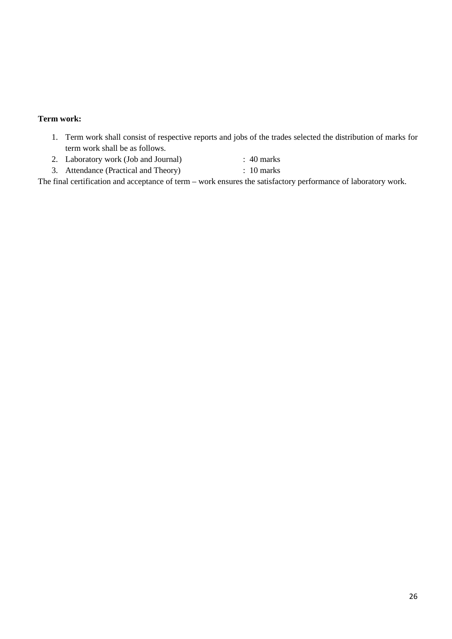## **Term work:**

- 1. Term work shall consist of respective reports and jobs of the trades selected the distribution of marks for term work shall be as follows.
- 2. Laboratory work (Job and Journal) : 40 marks
- 3. Attendance (Practical and Theory) : 10 marks

The final certification and acceptance of term – work ensures the satisfactory performance of laboratory work.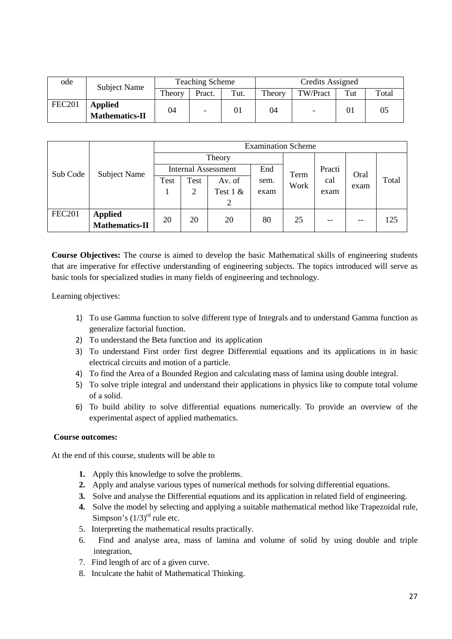| ode           | <b>Subject Name</b>                     | <b>Teaching Scheme</b> |        |      | Credits Assigned |          |     |       |  |
|---------------|-----------------------------------------|------------------------|--------|------|------------------|----------|-----|-------|--|
|               |                                         | Theory                 | Pract. | Tut. | Theory           | TW/Pract | Tut | Total |  |
| <b>FEC201</b> | <b>Applied</b><br><b>Mathematics-II</b> | 04                     |        | 01   | 04               |          | 01  |       |  |

|               |                       | <b>Examination Scheme</b>         |      |            |      |      |        |      |       |  |
|---------------|-----------------------|-----------------------------------|------|------------|------|------|--------|------|-------|--|
|               |                       |                                   |      | Theory     |      |      |        |      |       |  |
| Sub Code      | <b>Subject Name</b>   | End<br><b>Internal Assessment</b> |      |            |      | Term | Practi | Oral |       |  |
|               |                       | Test                              | Test | Av. of     | sem. | Work | cal    |      | Total |  |
|               |                       |                                   | 2    | Test $1 &$ | exam |      | exam   | exam |       |  |
|               |                       |                                   |      | 2          |      |      |        |      |       |  |
| <b>FEC201</b> | <b>Applied</b>        | 20                                | 20   | 20         | 80   | 25   | $-$    | $-$  | 125   |  |
|               | <b>Mathematics-II</b> |                                   |      |            |      |      |        |      |       |  |

**Course Objectives:** The course is aimed to develop the basic Mathematical skills of engineering students that are imperative for effective understanding of engineering subjects. The topics introduced will serve as basic tools for specialized studies in many fields of engineering and technology.

Learning objectives:

- 1) To use Gamma function to solve different type of Integrals and to understand Gamma function as generalize factorial function.
- 2) To understand the Beta function and its application
- 3) To understand First order first degree Differential equations and its applications in in basic electrical circuits and motion of a particle.
- 4) To find the Area of a Bounded Region and calculating mass of lamina using double integral.
- 5) To solve triple integral and understand their applications in physics like to compute total volume of a solid.
- 6) To build ability to solve differential equations numerically. To provide an overview of the experimental aspect of applied mathematics.

## **Course outcomes:**

At the end of this course, students will be able to

- **1.** Apply this knowledge to solve the problems.
- **2.** Apply and analyse various types of numerical methods for solving differential equations.
- **3.** Solve and analyse the Differential equations and its application in related field of engineering.
- **4.** Solve the model by selecting and applying a suitable mathematical method like Trapezoidal rule, Simpson's  $(1/3)^{rd}$  rule etc.
- 5. Interpreting the mathematical results practically.
- 6. Find and analyse area, mass of lamina and volume of solid by using double and triple integration,
- 7. Find length of arc of a given curve.
- 8. Inculcate the habit of Mathematical Thinking.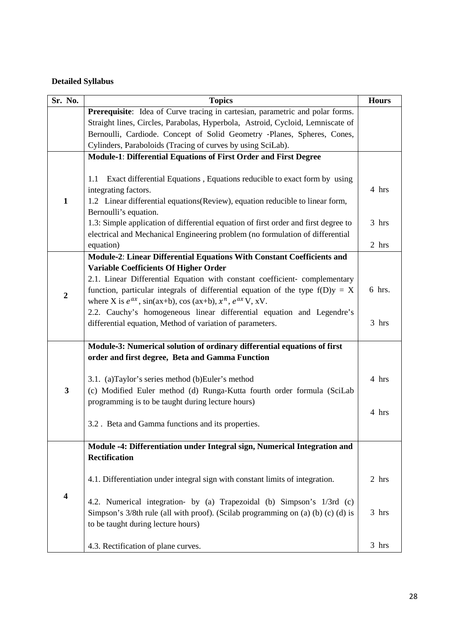# **Detailed Syllabus**

| Sr. No.          | <b>Topics</b>                                                                                                                                                                                                      | <b>Hours</b> |
|------------------|--------------------------------------------------------------------------------------------------------------------------------------------------------------------------------------------------------------------|--------------|
|                  | Prerequisite: Idea of Curve tracing in cartesian, parametric and polar forms.                                                                                                                                      |              |
|                  | Straight lines, Circles, Parabolas, Hyperbola, Astroid, Cycloid, Lemniscate of                                                                                                                                     |              |
|                  | Bernoulli, Cardiode. Concept of Solid Geometry -Planes, Spheres, Cones,                                                                                                                                            |              |
|                  | Cylinders, Paraboloids (Tracing of curves by using SciLab).                                                                                                                                                        |              |
|                  | <b>Module-1: Differential Equations of First Order and First Degree</b>                                                                                                                                            |              |
| $\mathbf{1}$     | Exact differential Equations, Equations reducible to exact form by using<br>1.1<br>integrating factors.<br>1.2 Linear differential equations (Review), equation reducible to linear form,<br>Bernoulli's equation. | 4 hrs        |
|                  | 1.3: Simple application of differential equation of first order and first degree to                                                                                                                                | 3 hrs        |
|                  | electrical and Mechanical Engineering problem (no formulation of differential                                                                                                                                      |              |
|                  | equation)                                                                                                                                                                                                          | 2 hrs        |
|                  | Module-2: Linear Differential Equations With Constant Coefficients and                                                                                                                                             |              |
|                  | <b>Variable Coefficients Of Higher Order</b>                                                                                                                                                                       |              |
|                  | 2.1. Linear Differential Equation with constant coefficient-complementary                                                                                                                                          |              |
| $\boldsymbol{2}$ | function, particular integrals of differential equation of the type $f(D)y = X$                                                                                                                                    | 6 hrs.       |
|                  | where X is $e^{ax}$ , sin(ax+b), cos (ax+b), $x^n$ , $e^{ax}V$ , xV.                                                                                                                                               |              |
|                  | 2.2. Cauchy's homogeneous linear differential equation and Legendre's                                                                                                                                              |              |
|                  | differential equation, Method of variation of parameters.                                                                                                                                                          | 3 hrs        |
|                  |                                                                                                                                                                                                                    |              |
|                  | Module-3: Numerical solution of ordinary differential equations of first                                                                                                                                           |              |
|                  | order and first degree, Beta and Gamma Function                                                                                                                                                                    |              |
|                  | 3.1. (a)Taylor's series method (b)Euler's method                                                                                                                                                                   | 4 hrs        |
| 3                | (c) Modified Euler method (d) Runga-Kutta fourth order formula (SciLab                                                                                                                                             |              |
|                  | programming is to be taught during lecture hours)                                                                                                                                                                  |              |
|                  |                                                                                                                                                                                                                    | 4 hrs        |
|                  | 3.2. Beta and Gamma functions and its properties.                                                                                                                                                                  |              |
|                  |                                                                                                                                                                                                                    |              |
|                  | Module -4: Differentiation under Integral sign, Numerical Integration and                                                                                                                                          |              |
|                  | <b>Rectification</b>                                                                                                                                                                                               |              |
|                  | 4.1. Differentiation under integral sign with constant limits of integration.                                                                                                                                      | 2 hrs        |
| 4                | 4.2. Numerical integration- by (a) Trapezoidal (b) Simpson's 1/3rd (c)<br>Simpson's 3/8th rule (all with proof). (Scilab programming on (a) (b) (c) (d) is<br>to be taught during lecture hours)                   | 3 hrs        |
|                  | 4.3. Rectification of plane curves.                                                                                                                                                                                | 3 hrs        |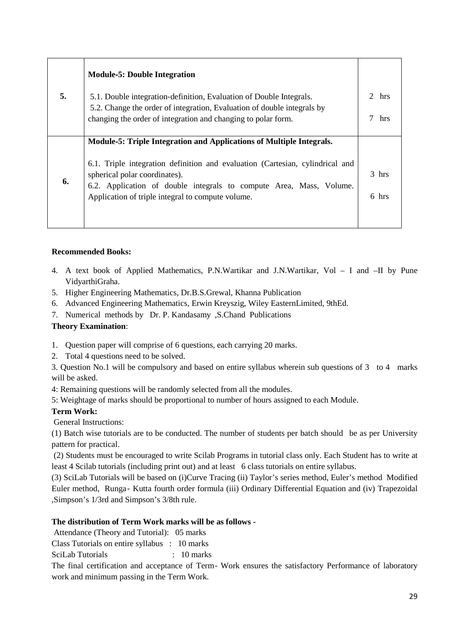| <b>Module-5: Double Integration</b>                                                                                                                                                                                                        |                                                                         |
|--------------------------------------------------------------------------------------------------------------------------------------------------------------------------------------------------------------------------------------------|-------------------------------------------------------------------------|
| 5.1. Double integration-definition, Evaluation of Double Integrals.                                                                                                                                                                        | $\mathcal{D}$<br>hrs                                                    |
| changing the order of integration and changing to polar form.                                                                                                                                                                              | hrs                                                                     |
| Module-5: Triple Integration and Applications of Multiple Integrals.                                                                                                                                                                       |                                                                         |
| 6.1. Triple integration definition and evaluation (Cartesian, cylindrical and<br>spherical polar coordinates).<br>6.2. Application of double integrals to compute Area, Mass, Volume.<br>Application of triple integral to compute volume. | $3$ hrs<br>6 hrs                                                        |
|                                                                                                                                                                                                                                            | 5.2. Change the order of integration, Evaluation of double integrals by |

## **Recommended Books:**

- 4. A text book of Applied Mathematics, P.N.Wartikar and J.N.Wartikar, Vol I and –II by Pune VidyarthiGraha.
- 5. Higher Engineering Mathematics, Dr.B.S.Grewal, Khanna Publication
- 6. Advanced Engineering Mathematics, Erwin Kreyszig, Wiley EasternLimited, 9thEd.
- 7. Numerical methods by Dr. P. Kandasamy ,S.Chand Publications

## **Theory Examination**:

- 1. Question paper will comprise of 6 questions, each carrying 20 marks.
- 2. Total 4 questions need to be solved.

3. Question No.1 will be compulsory and based on entire syllabus wherein sub questions of 3 to 4 marks will be asked.

4: Remaining questions will be randomly selected from all the modules.

5: Weightage of marks should be proportional to number of hours assigned to each Module.

# **Term Work:**

General Instructions:

(1) Batch wise tutorials are to be conducted. The number of students per batch should be as per University pattern for practical.

(2) Students must be encouraged to write Scilab Programs in tutorial class only. Each Student has to write at least 4 Scilab tutorials (including print out) and at least 6 class tutorials on entire syllabus.

(3) SciLab Tutorials will be based on (i)Curve Tracing (ii) Taylor's series method, Euler's method Modified Euler method, Runga‐ Kutta fourth order formula (iii) Ordinary Differential Equation and (iv) Trapezoidal ,Simpson's 1/3rd and Simpson's 3/8th rule.

## **The distribution of Term Work marks will be as follows -**

Attendance (Theory and Tutorial): 05 marks

Class Tutorials on entire syllabus : 10 marks

SciLab Tutorials : 10 marks

The final certification and acceptance of Term - Work ensures the satisfactory Performance of laboratory work and minimum passing in the Term Work.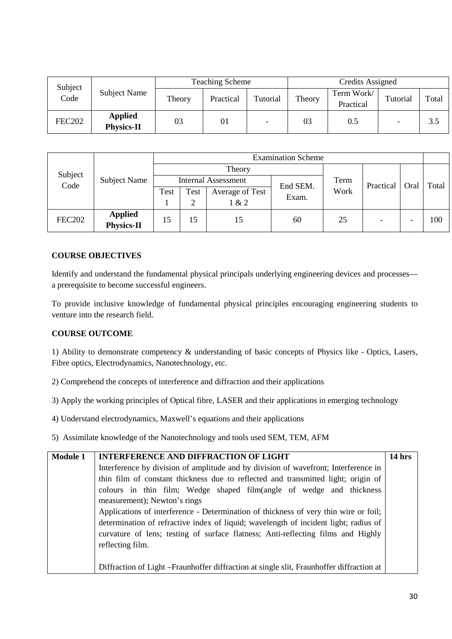| Subject       |                                     | <b>Teaching Scheme</b> |           |          | Credits Assigned |                         |                          |       |
|---------------|-------------------------------------|------------------------|-----------|----------|------------------|-------------------------|--------------------------|-------|
| Code          | Subject Name                        | Theory                 | Practical | Tutorial | Theory           | Term Work/<br>Practical | Tutorial                 | Total |
| <b>FEC202</b> | <b>Applied</b><br><b>Physics-II</b> | 03                     | 01        |          | 03               | 0.5                     | $\overline{\phantom{0}}$ | 3.5   |

|                 | <b>Subject Name</b>           | <b>Examination Scheme</b> |      |                            |          |      |           |      |       |  |
|-----------------|-------------------------------|---------------------------|------|----------------------------|----------|------|-----------|------|-------|--|
|                 |                               |                           |      | Theory                     |          |      |           |      |       |  |
| Subject<br>Code |                               |                           |      | <b>Internal Assessment</b> | End SEM. | Term | Practical | Oral | Total |  |
|                 |                               | Test                      | Test | <b>Average of Test</b>     | Exam.    | Work |           |      |       |  |
|                 |                               |                           |      | 1 & 2                      |          |      |           |      |       |  |
| <b>FEC202</b>   | <b>Applied<br/>Physics-II</b> | 15                        | 15   | 15                         | 60       | 25   |           |      | 100   |  |

## **COURSE OBJECTIVES**

Identify and understand the fundamental physical principals underlying engineering devices and processes a prerequisite to become successful engineers.

To provide inclusive knowledge of fundamental physical principles encouraging engineering students to venture into the research field.

## **COURSE OUTCOME**

1) Ability to demonstrate competency & understanding of basic concepts of Physics like - Optics, Lasers, Fibre optics, Electrodynamics, Nanotechnology, etc.

- 2) Comprehend the concepts of interference and diffraction and their applications
- 3) Apply the working principles of Optical fibre, LASER and their applications in emerging technology
- 4) Understand electrodynamics, Maxwell's equations and their applications
- 5) Assimilate knowledge of the Nanotechnology and tools used SEM, TEM, AFM

| <b>Module 1</b> | <b>INTERFERENCE AND DIFFRACTION OF LIGHT</b>                                              | 14 hrs |  |  |  |  |  |  |  |  |  |
|-----------------|-------------------------------------------------------------------------------------------|--------|--|--|--|--|--|--|--|--|--|
|                 | Interference by division of amplitude and by division of wavefront; Interference in       |        |  |  |  |  |  |  |  |  |  |
|                 | thin film of constant thickness due to reflected and transmitted light; origin of         |        |  |  |  |  |  |  |  |  |  |
|                 | colours in thin film; Wedge shaped film(angle of wedge and thickness                      |        |  |  |  |  |  |  |  |  |  |
|                 | measurement); Newton's rings                                                              |        |  |  |  |  |  |  |  |  |  |
|                 | Applications of interference - Determination of thickness of very thin wire or foil;      |        |  |  |  |  |  |  |  |  |  |
|                 | determination of refractive index of liquid; wavelength of incident light; radius of      |        |  |  |  |  |  |  |  |  |  |
|                 | curvature of lens; testing of surface flatness; Anti-reflecting films and Highly          |        |  |  |  |  |  |  |  |  |  |
|                 | reflecting film.                                                                          |        |  |  |  |  |  |  |  |  |  |
|                 |                                                                                           |        |  |  |  |  |  |  |  |  |  |
|                 | Diffraction of Light – Fraunhoffer diffraction at single slit, Fraunhoffer diffraction at |        |  |  |  |  |  |  |  |  |  |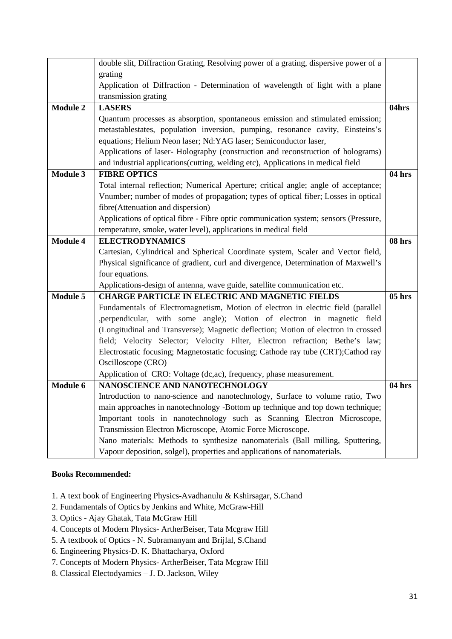|                 | double slit, Diffraction Grating, Resolving power of a grating, dispersive power of a |          |
|-----------------|---------------------------------------------------------------------------------------|----------|
|                 | grating                                                                               |          |
|                 | Application of Diffraction - Determination of wavelength of light with a plane        |          |
|                 | transmission grating                                                                  |          |
| <b>Module 2</b> | <b>LASERS</b>                                                                         | 04hrs    |
|                 | Quantum processes as absorption, spontaneous emission and stimulated emission;        |          |
|                 | metastablestates, population inversion, pumping, resonance cavity, Einsteins's        |          |
|                 | equations; Helium Neon laser; Nd:YAG laser; Semiconductor laser,                      |          |
|                 | Applications of laser-Holography (construction and reconstruction of holograms)       |          |
|                 | and industrial applications(cutting, welding etc), Applications in medical field      |          |
| <b>Module 3</b> | <b>FIBRE OPTICS</b>                                                                   | 04 hrs   |
|                 | Total internal reflection; Numerical Aperture; critical angle; angle of acceptance;   |          |
|                 | Vnumber; number of modes of propagation; types of optical fiber; Losses in optical    |          |
|                 | fibre(Attenuation and dispersion)                                                     |          |
|                 | Applications of optical fibre - Fibre optic communication system; sensors (Pressure,  |          |
|                 | temperature, smoke, water level), applications in medical field                       |          |
| <b>Module 4</b> | <b>ELECTRODYNAMICS</b>                                                                | 08 hrs   |
|                 | Cartesian, Cylindrical and Spherical Coordinate system, Scaler and Vector field,      |          |
|                 | Physical significance of gradient, curl and divergence, Determination of Maxwell's    |          |
|                 | four equations.                                                                       |          |
|                 | Applications-design of antenna, wave guide, satellite communication etc.              |          |
| <b>Module 5</b> | <b>CHARGE PARTICLE IN ELECTRIC AND MAGNETIC FIELDS</b>                                | $05$ hrs |
|                 | Fundamentals of Electromagnetism, Motion of electron in electric field (parallel      |          |
|                 | , perpendicular, with some angle); Motion of electron in magnetic field               |          |
|                 | (Longitudinal and Transverse); Magnetic deflection; Motion of electron in crossed     |          |
|                 | field; Velocity Selector; Velocity Filter, Electron refraction; Bethe's law;          |          |
|                 | Electrostatic focusing; Magnetostatic focusing; Cathode ray tube (CRT);Cathod ray     |          |
|                 | Oscilloscope (CRO)                                                                    |          |
|                 | Application of CRO: Voltage (dc,ac), frequency, phase measurement.                    |          |
| Module 6        | NANOSCIENCE AND NANOTECHNOLOGY                                                        | 04 hrs   |
|                 | Introduction to nano-science and nanotechnology, Surface to volume ratio, Two         |          |
|                 | main approaches in nanotechnology -Bottom up technique and top down technique;        |          |
|                 | Important tools in nanotechnology such as Scanning Electron Microscope,               |          |
|                 | Transmission Electron Microscope, Atomic Force Microscope.                            |          |
|                 | Nano materials: Methods to synthesize nanomaterials (Ball milling, Sputtering,        |          |
|                 | Vapour deposition, solgel), properties and applications of nanomaterials.             |          |

#### **Books Recommended:**

- 1. A text book of Engineering Physics-Avadhanulu & Kshirsagar, S.Chand
- 2. Fundamentals of Optics by Jenkins and White, McGraw-Hill
- 3. Optics Ajay Ghatak, Tata McGraw Hill
- 4. Concepts of Modern Physics- ArtherBeiser, Tata Mcgraw Hill
- 5. A textbook of Optics N. Subramanyam and Brijlal, S.Chand
- 6. Engineering Physics-D. K. Bhattacharya, Oxford
- 7. Concepts of Modern Physics- ArtherBeiser, Tata Mcgraw Hill
- 8. Classical Electodyamics J. D. Jackson, Wiley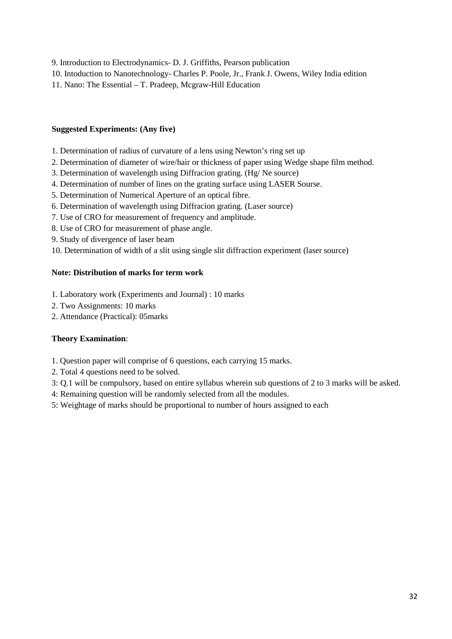9. Introduction to Electrodynamics- D. J. Griffiths, Pearson publication

10. Intoduction to Nanotechnology- Charles P. Poole, Jr., Frank J. Owens, Wiley India edition

11. Nano: The Essential – T. Pradeep, Mcgraw-Hill Education

#### **Suggested Experiments: (Any five)**

- 1. Determination of radius of curvature of a lens using Newton's ring set up
- 2. Determination of diameter of wire/hair or thickness of paper using Wedge shape film method.
- 3. Determination of wavelength using Diffracion grating. (Hg/ Ne source)
- 4. Determination of number of lines on the grating surface using LASER Sourse.
- 5. Determination of Numerical Aperture of an optical fibre.
- 6. Determination of wavelength using Diffracion grating. (Laser source)
- 7. Use of CRO for measurement of frequency and amplitude.
- 8. Use of CRO for measurement of phase angle.
- 9. Study of divergence of laser beam

10. Determination of width of a slit using single slit diffraction experiment (laser source)

#### **Note: Distribution of marks for term work**

- 1. Laboratory work (Experiments and Journal) : 10 marks
- 2. Two Assignments: 10 marks
- 2. Attendance (Practical): 05marks

## **Theory Examination**:

- 1. Question paper will comprise of 6 questions, each carrying 15 marks.
- 2. Total 4 questions need to be solved.
- 3: Q.1 will be compulsory, based on entire syllabus wherein sub questions of 2 to 3 marks will be asked.
- 4: Remaining question will be randomly selected from all the modules.
- 5: Weightage of marks should be proportional to number of hours assigned to each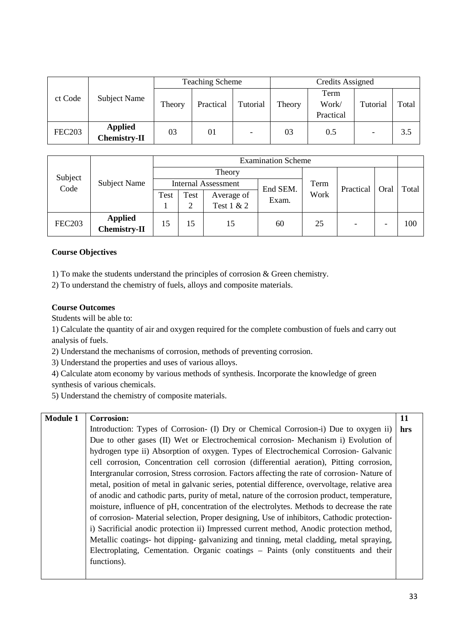|               |                                       | <b>Teaching Scheme</b> |           |                          | Credits Assigned |                            |          |       |
|---------------|---------------------------------------|------------------------|-----------|--------------------------|------------------|----------------------------|----------|-------|
| ct Code       | Subject Name                          | Theory                 | Practical | Tutorial                 | Theory           | Term<br>Work/<br>Practical | Tutorial | Total |
| <b>FEC203</b> | <b>Applied</b><br><b>Chemistry-II</b> | 03                     | 01        | $\overline{\phantom{0}}$ | 03               | 0.5                        |          | 3.5   |

| Subject<br>Code | Subject Name            | <b>Examination Scheme</b>              |      |            |       |           |      |       |     |  |
|-----------------|-------------------------|----------------------------------------|------|------------|-------|-----------|------|-------|-----|--|
|                 |                         |                                        |      | Theory     |       |           |      |       |     |  |
|                 |                         | <b>Internal Assessment</b><br>End SEM. |      |            | Term  | Practical | Oral | Total |     |  |
|                 |                         | Test                                   | Test | Average of | Exam. | Work      |      |       |     |  |
|                 |                         |                                        | 2    | Test 1 & 2 |       |           |      |       |     |  |
| <b>FEC203</b>   | Applied<br>Chemistry-II | 15                                     | 15   | 15         | 60    | 25        |      |       | 100 |  |

## **Course Objectives**

1) To make the students understand the principles of corrosion & Green chemistry.

2) To understand the chemistry of fuels, alloys and composite materials.

#### **Course Outcomes**

Students will be able to:

1) Calculate the quantity of air and oxygen required for the complete combustion of fuels and carry out analysis of fuels.

2) Understand the mechanisms of corrosion, methods of preventing corrosion.

3) Understand the properties and uses of various alloys.

4) Calculate atom economy by various methods of synthesis. Incorporate the knowledge of green

synthesis of various chemicals.

5) Understand the chemistry of composite materials.

# **Module 1 Corrosion:**

Introduction: Types of Corrosion- (I) Dry or Chemical Corrosion-i) Due to oxygen ii) Due to other gases (II) Wet or Electrochemical corrosion- Mechanism i) Evolution of hydrogen type ii) Absorption of oxygen. Types of Electrochemical Corrosion- Galvanic cell corrosion, Concentration cell corrosion (differential aeration), Pitting corrosion, Intergranular corrosion, Stress corrosion. Factors affecting the rate of corrosion- Nature of metal, position of metal in galvanic series, potential difference, overvoltage, relative area of anodic and cathodic parts, purity of metal, nature of the corrosion product, temperature, moisture, influence of pH, concentration of the electrolytes. Methods to decrease the rate of corrosion- Material selection, Proper designing, Use of inhibitors, Cathodic protectioni) Sacrificial anodic protection ii) Impressed current method, Anodic protection method, Metallic coatings- hot dipping- galvanizing and tinning, metal cladding, metal spraying, Electroplating, Cementation. Organic coatings – Paints (only constituents and their functions). **hrs**

**11**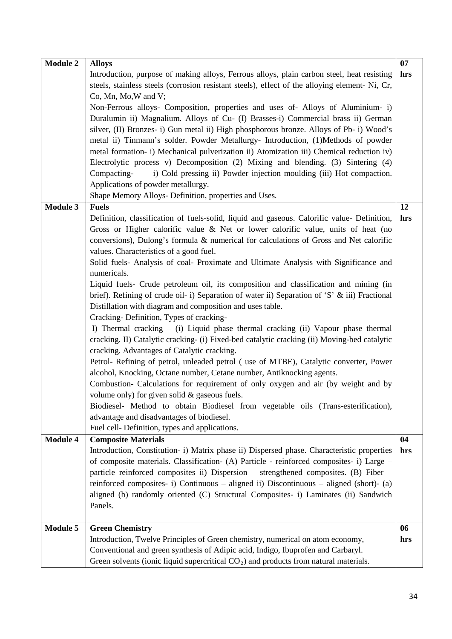| <b>Module 2</b> | <b>Alloys</b>                                                                                 | 07  |
|-----------------|-----------------------------------------------------------------------------------------------|-----|
|                 | Introduction, purpose of making alloys, Ferrous alloys, plain carbon steel, heat resisting    | hrs |
|                 | steels, stainless steels (corrosion resistant steels), effect of the alloying element-Ni, Cr, |     |
|                 | Co, Mn, Mo, W and V;                                                                          |     |
|                 | Non-Ferrous alloys- Composition, properties and uses of-Alloys of Aluminium- i)               |     |
|                 | Duralumin ii) Magnalium. Alloys of Cu- (I) Brasses-i) Commercial brass ii) German             |     |
|                 | silver, (II) Bronzes- i) Gun metal ii) High phosphorous bronze. Alloys of Pb- i) Wood's       |     |
|                 | metal ii) Tinmann's solder. Powder Metallurgy- Introduction, (1)Methods of powder             |     |
|                 | metal formation- i) Mechanical pulverization ii) Atomization iii) Chemical reduction iv)      |     |
|                 | Electrolytic process v) Decomposition (2) Mixing and blending. (3) Sintering (4)              |     |
|                 | i) Cold pressing ii) Powder injection moulding (iii) Hot compaction.<br>Compacting-           |     |
|                 | Applications of powder metallurgy.                                                            |     |
|                 | Shape Memory Alloys- Definition, properties and Uses.                                         |     |
| Module 3        | <b>Fuels</b>                                                                                  | 12  |
|                 | Definition, classification of fuels-solid, liquid and gaseous. Calorific value- Definition,   | hrs |
|                 | Gross or Higher calorific value & Net or lower calorific value, units of heat (no             |     |
|                 | conversions), Dulong's formula & numerical for calculations of Gross and Net calorific        |     |
|                 | values. Characteristics of a good fuel.                                                       |     |
|                 | Solid fuels- Analysis of coal- Proximate and Ultimate Analysis with Significance and          |     |
|                 | numericals.                                                                                   |     |
|                 | Liquid fuels- Crude petroleum oil, its composition and classification and mining (in          |     |
|                 | brief). Refining of crude oil- i) Separation of water ii) Separation of 'S' & iii) Fractional |     |
|                 | Distillation with diagram and composition and uses table.                                     |     |
|                 | Cracking-Definition, Types of cracking-                                                       |     |
|                 | I) Thermal cracking – (i) Liquid phase thermal cracking (ii) Vapour phase thermal             |     |
|                 | cracking. II) Catalytic cracking- (i) Fixed-bed catalytic cracking (ii) Moving-bed catalytic  |     |
|                 | cracking. Advantages of Catalytic cracking.                                                   |     |
|                 | Petrol- Refining of petrol, unleaded petrol (use of MTBE), Catalytic converter, Power         |     |
|                 | alcohol, Knocking, Octane number, Cetane number, Antiknocking agents.                         |     |
|                 | Combustion- Calculations for requirement of only oxygen and air (by weight and by             |     |
|                 | volume only) for given solid $\&$ gaseous fuels.                                              |     |
|                 | Biodiesel- Method to obtain Biodiesel from vegetable oils (Trans-esterification),             |     |
|                 | advantage and disadvantages of biodiesel.                                                     |     |
|                 | Fuel cell- Definition, types and applications.                                                |     |
| <b>Module 4</b> | <b>Composite Materials</b>                                                                    | 04  |
|                 | Introduction, Constitution- i) Matrix phase ii) Dispersed phase. Characteristic properties    | hrs |
|                 | of composite materials. Classification- (A) Particle - reinforced composites- i) Large -      |     |
|                 | particle reinforced composites ii) Dispersion - strengthened composites. (B) Fiber -          |     |
|                 | reinforced composites- i) Continuous – aligned ii) Discontinuous – aligned (short)- (a)       |     |
|                 | aligned (b) randomly oriented (C) Structural Composites- i) Laminates (ii) Sandwich           |     |
|                 | Panels.                                                                                       |     |
|                 |                                                                                               |     |
| <b>Module 5</b> | <b>Green Chemistry</b>                                                                        | 06  |
|                 | Introduction, Twelve Principles of Green chemistry, numerical on atom economy,                | hrs |
|                 | Conventional and green synthesis of Adipic acid, Indigo, Ibuprofen and Carbaryl.              |     |
|                 | Green solvents (ionic liquid supercritical $CO2$ ) and products from natural materials.       |     |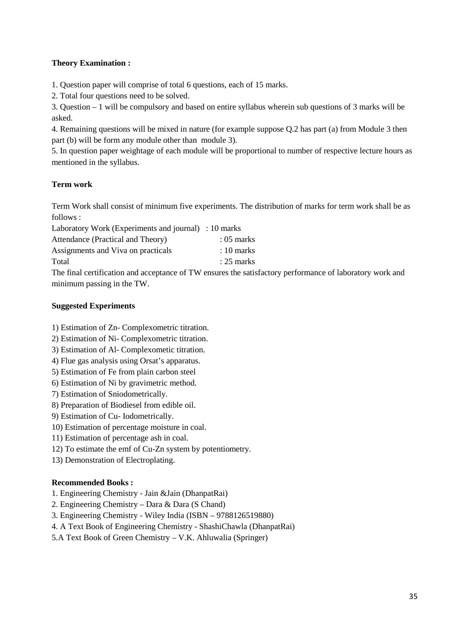## **Theory Examination :**

1. Question paper will comprise of total 6 questions, each of 15 marks.

2. Total four questions need to be solved.

3. Question – 1 will be compulsory and based on entire syllabus wherein sub questions of 3 marks will be asked.

4. Remaining questions will be mixed in nature (for example suppose Q.2 has part (a) from Module 3 then part (b) will be form any module other than module 3).

5. In question paper weightage of each module will be proportional to number of respective lecture hours as mentioned in the syllabus.

# **Term work**

Term Work shall consist of minimum five experiments. The distribution of marks for term work shall be as follows :

Laboratory Work (Experiments and journal) : 10 marks

| Attendance (Practical and Theory)  | $:05$ marks  |
|------------------------------------|--------------|
| Assignments and Viva on practicals | $: 10$ marks |
| Total                              | $: 25$ marks |

The final certification and acceptance of TW ensures the satisfactory performance of laboratory work and minimum passing in the TW.

# **Suggested Experiments**

1) Estimation of Zn- Complexometric titration.

- 2) Estimation of Ni- Complexometric titration.
- 3) Estimation of Al- Complexometic titration.
- 4) Flue gas analysis using Orsat's apparatus.
- 5) Estimation of Fe from plain carbon steel
- 6) Estimation of Ni by gravimetric method.
- 7) Estimation of Sniodometrically.
- 8) Preparation of Biodiesel from edible oil.
- 9) Estimation of Cu- Iodometrically.
- 10) Estimation of percentage moisture in coal.
- 11) Estimation of percentage ash in coal.
- 12) To estimate the emf of Cu-Zn system by potentiometry.
- 13) Demonstration of Electroplating.

## **Recommended Books :**

- 1. Engineering Chemistry Jain &Jain (DhanpatRai)
- 2. Engineering Chemistry Dara & Dara (S Chand)
- 3. Engineering Chemistry Wiley India (ISBN 9788126519880)
- 4. A Text Book of Engineering Chemistry ShashiChawla (DhanpatRai)
- 5.A Text Book of Green Chemistry V.K. Ahluwalia (Springer)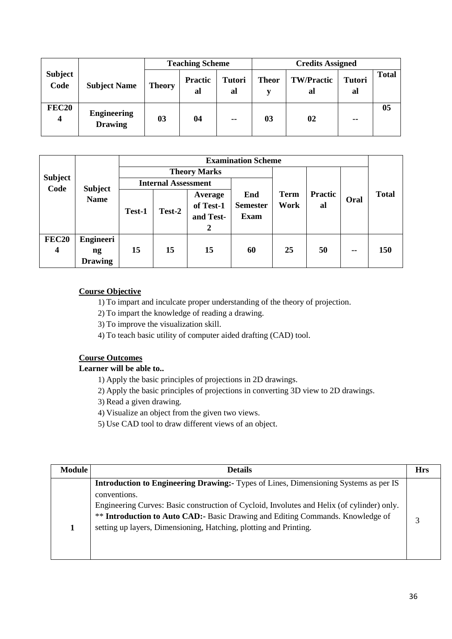|                        |                                      | <b>Teaching Scheme</b> |                      |                     | <b>Credits Assigned</b> |                         |                     |              |
|------------------------|--------------------------------------|------------------------|----------------------|---------------------|-------------------------|-------------------------|---------------------|--------------|
| <b>Subject</b><br>Code | <b>Subject Name</b>                  | <b>Theory</b>          | <b>Practic</b><br>al | <b>Tutori</b><br>al | <b>Theor</b>            | <b>TW/Practic</b><br>al | <b>Tutori</b><br>al | <b>Total</b> |
| <b>FEC20</b>           | <b>Engineering</b><br><b>Drawing</b> | 03                     | 04                   | $- -$               | 03                      | 02                      | $-1$                | 05           |

|                                         |                                                              | <b>Examination Scheme</b> |                            |                                        |                                       |                     |               |      |              |  |
|-----------------------------------------|--------------------------------------------------------------|---------------------------|----------------------------|----------------------------------------|---------------------------------------|---------------------|---------------|------|--------------|--|
|                                         |                                                              |                           |                            | <b>Theory Marks</b>                    |                                       |                     |               |      |              |  |
| <b>Subject</b><br>Code                  |                                                              |                           | <b>Internal Assessment</b> |                                        |                                       |                     |               |      |              |  |
|                                         | <b>Subject</b><br><b>Name</b>                                | Test-1                    | Test-2                     | Average<br>of Test-1<br>and Test-<br>2 | End<br><b>Semester</b><br><b>Exam</b> | <b>Term</b><br>Work | Practic<br>al | Oral | <b>Total</b> |  |
| <b>FEC20</b><br>$\overline{\mathbf{4}}$ | <b>Engineeri</b><br>$\mathbf{n}\mathbf{g}$<br><b>Drawing</b> | 15                        | 15                         | 15                                     | 60                                    | 25                  | 50            | $-$  | <b>150</b>   |  |

# **Course Objective**

1) To impart and inculcate proper understanding of the theory of projection.

- 2) To impart the knowledge of reading a drawing.
- 3) To improve the visualization skill.
- 4) To teach basic utility of computer aided drafting (CAD) tool.

# **Course Outcomes**

**Learner will be able to..**

- 1) Apply the basic principles of projections in 2D drawings.
- 2) Apply the basic principles of projections in converting 3D view to 2D drawings.
- 3) Read a given drawing.
- 4) Visualize an object from the given two views.
- 5) Use CAD tool to draw different views of an object.

| <b>Module</b> | <b>Details</b>                                                                                                                                                                                                                                                                                                                                                         | <b>Hrs</b> |
|---------------|------------------------------------------------------------------------------------------------------------------------------------------------------------------------------------------------------------------------------------------------------------------------------------------------------------------------------------------------------------------------|------------|
|               | <b>Introduction to Engineering Drawing:</b> Types of Lines, Dimensioning Systems as per IS<br>conventions.<br>Engineering Curves: Basic construction of Cycloid, Involutes and Helix (of cylinder) only.<br>** <b>Introduction to Auto CAD:-</b> Basic Drawing and Editing Commands. Knowledge of<br>setting up layers, Dimensioning, Hatching, plotting and Printing. |            |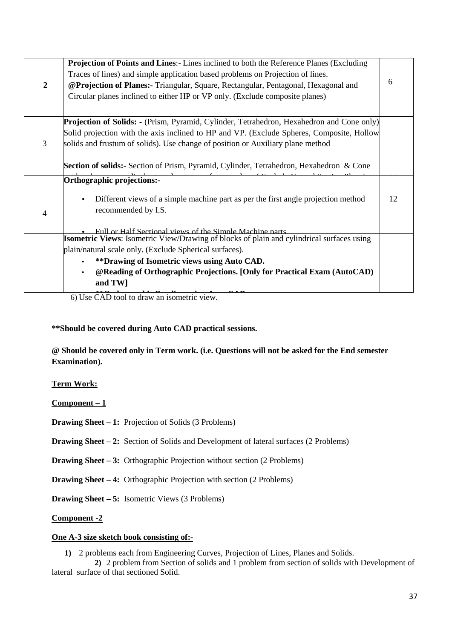|                  | <b>Projection of Points and Lines:</b> - Lines inclined to both the Reference Planes (Excluding  |    |
|------------------|--------------------------------------------------------------------------------------------------|----|
|                  | Traces of lines) and simple application based problems on Projection of lines.                   | 6  |
| $\boldsymbol{2}$ | @Projection of Planes:- Triangular, Square, Rectangular, Pentagonal, Hexagonal and               |    |
|                  | Circular planes inclined to either HP or VP only. (Exclude composite planes)                     |    |
|                  | <b>Projection of Solids:</b> - (Prism, Pyramid, Cylinder, Tetrahedron, Hexahedron and Cone only) |    |
|                  | Solid projection with the axis inclined to HP and VP. (Exclude Spheres, Composite, Hollow        |    |
| 3                | solids and frustum of solids). Use change of position or Auxiliary plane method                  |    |
|                  | Section of solids:- Section of Prism, Pyramid, Cylinder, Tetrahedron, Hexahedron & Cone          |    |
|                  | Orthographic projections:-                                                                       |    |
|                  | Different views of a simple machine part as per the first angle projection method<br>$\bullet$   | 12 |
| 4                | recommended by I.S.                                                                              |    |
|                  |                                                                                                  |    |
|                  | Full or Half Sectional views of the Simple Machine parts                                         |    |
|                  | Isometric Views: Isometric View/Drawing of blocks of plain and cylindrical surfaces using        |    |
|                  | plain/natural scale only. (Exclude Spherical surfaces).                                          |    |
|                  | **Drawing of Isometric views using Auto CAD.<br>$\bullet$                                        |    |
|                  | @Reading of Orthographic Projections. [Only for Practical Exam (AutoCAD)<br>$\bullet$            |    |
|                  | and TW]                                                                                          |    |
|                  | 6) Use CAD tool to draw an isometric view                                                        |    |

6) Use CAD tool to draw an isometric view.

# **\*\*Should be covered during Auto CAD practical sessions.**

**@ Should be covered only in Term work. (i.e. Questions will not be asked for the End semester Examination).**

## **Term Work:**

**Component – 1**

**Drawing Sheet – 1:** Projection of Solids (3 Problems)

**Drawing Sheet – 2:** Section of Solids and Development of lateral surfaces (2 Problems)

**Drawing Sheet – 3:** Orthographic Projection without section (2 Problems)

**Drawing Sheet – 4:** Orthographic Projection with section (2 Problems)

**Drawing Sheet – 5:** Isometric Views (3 Problems)

**Component -2**

#### **One A-3 size sketch book consisting of:-**

**1)** 2 problems each from Engineering Curves, Projection of Lines, Planes and Solids.

**2)** 2 problem from Section of solids and 1 problem from section of solids with Development of lateral surface of that sectioned Solid.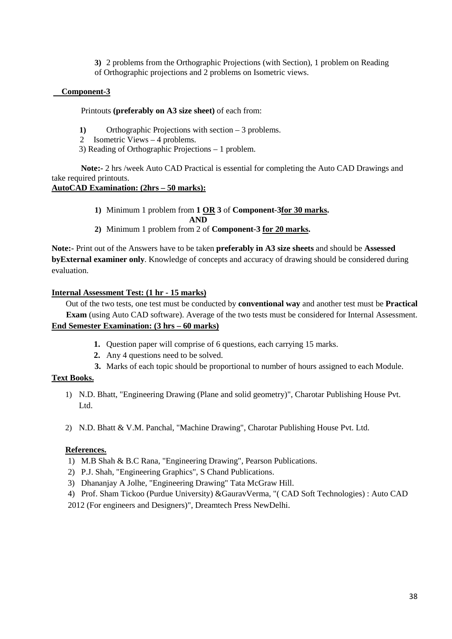**3)** 2 problems from the Orthographic Projections (with Section), 1 problem on Reading of Orthographic projections and 2 problems on Isometric views.

## **Component-3**

## Printouts **(preferably on A3 size sheet)** of each from:

- **1)** Orthographic Projections with section 3 problems.
- 2 Isometric Views 4 problems.
- 3) Reading of Orthographic Projections 1 problem.

 **Note:-** 2 hrs /week Auto CAD Practical is essential for completing the Auto CAD Drawings and take required printouts.

# **AutoCAD Examination: (2hrs – 50 marks):**

- **1)** Minimum 1 problem from **1 OR 3** of **Component-3for 30 marks. AND**
- **2)** Minimum 1 problem from 2 of **Component-3 for 20 marks.**

**Note:-** Print out of the Answers have to be taken **preferably in A3 size sheets** and should be **Assessed byExternal examiner only**. Knowledge of concepts and accuracy of drawing should be considered during evaluation.

# **Internal Assessment Test: (1 hr - 15 marks)**

 Out of the two tests, one test must be conducted by **conventional way** and another test must be **Practical Exam** (using Auto CAD software). Average of the two tests must be considered for Internal Assessment. **End Semester Examination: (3 hrs – 60 marks)**

- **1.** Question paper will comprise of 6 questions, each carrying 15 marks.
- **2.** Any 4 questions need to be solved.
- **3.** Marks of each topic should be proportional to number of hours assigned to each Module.

# **Text Books.**

- 1) N.D. Bhatt, "Engineering Drawing (Plane and solid geometry)", Charotar Publishing House Pvt. Ltd.
- 2) N.D. Bhatt & V.M. Panchal, "Machine Drawing", Charotar Publishing House Pvt. Ltd.

## **References.**

- 1) M.B Shah & B.C Rana, "Engineering Drawing", Pearson Publications.
- 2) P.J. Shah, "Engineering Graphics", S Chand Publications.
- 3) Dhananjay A Jolhe, "Engineering Drawing" Tata McGraw Hill.
- 4) Prof. Sham Tickoo (Purdue University) &GauravVerma, "( CAD Soft Technologies) : Auto CAD

2012 (For engineers and Designers)", Dreamtech Press NewDelhi.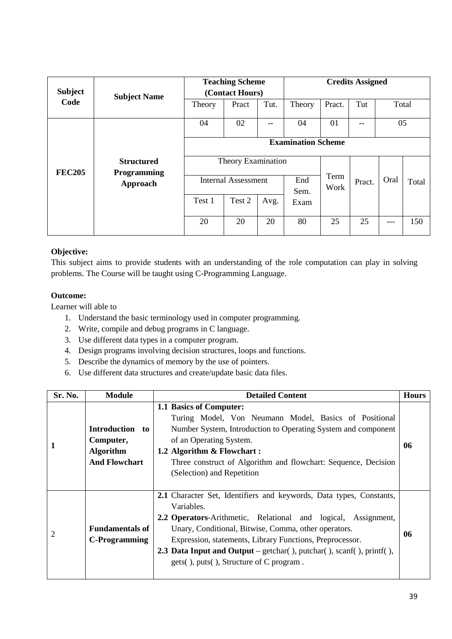| <b>Subject</b> |                                              |                            | <b>Teaching Scheme</b> |      | <b>Credits Assigned</b>   |              |        |       |       |
|----------------|----------------------------------------------|----------------------------|------------------------|------|---------------------------|--------------|--------|-------|-------|
|                | <b>Subject Name</b>                          |                            | (Contact Hours)        |      |                           |              |        |       |       |
| Code           |                                              | Theory                     | Pract                  | Tut. | Theory                    | Pract.       | Tut    | Total |       |
|                |                                              | 04                         | 02                     | --   | 04                        | 01           | --     | 05    |       |
|                |                                              |                            |                        |      | <b>Examination Scheme</b> |              |        |       |       |
| <b>FEC205</b>  | <b>Structured</b><br>Programming<br>Approach | Theory Examination         |                        |      |                           |              |        |       |       |
|                |                                              | <b>Internal Assessment</b> |                        |      | End<br>Sem.               | Term<br>Work | Pract. | Oral  | Total |
|                |                                              | Test 1                     | Test 2                 | Avg. | Exam                      |              |        |       |       |
|                |                                              | 20                         | 20                     | 20   | 80                        | 25           | 25     | ---   | 150   |

## **Objective:**

This subject aims to provide students with an understanding of the role computation can play in solving problems. The Course will be taught using C-Programming Language.

# **Outcome:**

Learner will able to

- 1. Understand the basic terminology used in computer programming.
- 2. Write, compile and debug programs in C language.
- 3. Use different data types in a computer program.
- 4. Design programs involving decision structures, loops and functions.
- 5. Describe the dynamics of memory by the use of pointers.
- 6. Use different data structures and create/update basic data files.

| Sr. No. | <b>Module</b>                                                            | <b>Detailed Content</b>                                                                                                                                                                                                                                                                                                                                                                                                                  | <b>Hours</b> |
|---------|--------------------------------------------------------------------------|------------------------------------------------------------------------------------------------------------------------------------------------------------------------------------------------------------------------------------------------------------------------------------------------------------------------------------------------------------------------------------------------------------------------------------------|--------------|
|         | Introduction to<br>Computer,<br><b>Algorithm</b><br><b>And Flowchart</b> | 1.1 Basics of Computer:<br>Turing Model, Von Neumann Model, Basics of Positional<br>Number System, Introduction to Operating System and component<br>of an Operating System.<br>1.2 Algorithm & Flowchart:<br>Three construct of Algorithm and flowchart: Sequence, Decision<br>(Selection) and Repetition                                                                                                                               | 06           |
| 2       | <b>Fundamentals of</b><br><b>C-Programming</b>                           | 2.1 Character Set, Identifiers and keywords, Data types, Constants,<br>Variables.<br>2.2 Operators-Arithmetic, Relational and logical, Assignment,<br>Unary, Conditional, Bitwise, Comma, other operators.<br>Expression, statements, Library Functions, Preprocessor.<br><b>2.3 Data Input and Output</b> – getchar( $\theta$ ), putchar( $\theta$ ), scanf( $\theta$ ), printf( $\theta$ ),<br>gets(), puts(), Structure of C program. | 06           |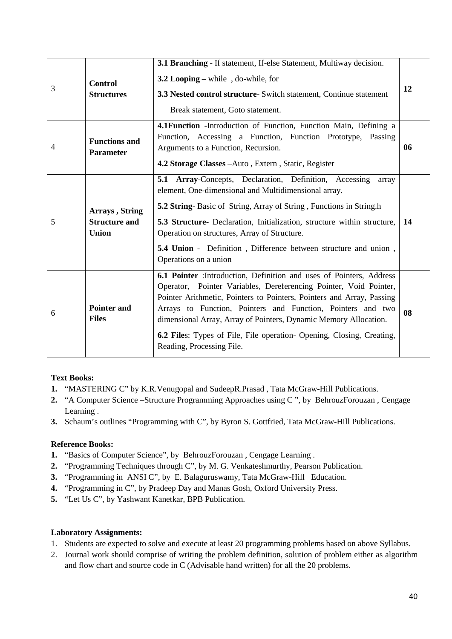| 3 | <b>Control</b><br><b>Structures</b>                                                                                                                                                                                                                                          | 3.1 Branching - If statement, If-else Statement, Multiway decision.<br>3.2 Looping – while, do-while, for<br>3.3 Nested control structure- Switch statement, Continue statement<br>Break statement, Goto statement.                                                                                                                                                                                                                                         | 12 |  |
|---|------------------------------------------------------------------------------------------------------------------------------------------------------------------------------------------------------------------------------------------------------------------------------|-------------------------------------------------------------------------------------------------------------------------------------------------------------------------------------------------------------------------------------------------------------------------------------------------------------------------------------------------------------------------------------------------------------------------------------------------------------|----|--|
| 4 | 4.1 Function - Introduction of Function, Function Main, Defining a<br>Function, Accessing a Function, Function Prototype, Passing<br><b>Functions and</b><br>Arguments to a Function, Recursion.<br><b>Parameter</b><br>4.2 Storage Classes - Auto, Extern, Static, Register |                                                                                                                                                                                                                                                                                                                                                                                                                                                             |    |  |
| 5 | Arrays, String<br><b>Structure and</b><br><b>Union</b>                                                                                                                                                                                                                       | Array-Concepts, Declaration, Definition, Accessing<br>5.1<br>array<br>element, One-dimensional and Multidimensional array.<br><b>5.2 String-Basic of String, Array of String, Functions in String.h</b><br>5.3 Structure- Declaration, Initialization, structure within structure,<br>Operation on structures, Array of Structure.<br>5.4 Union - Definition, Difference between structure and union,<br>Operations on a union                              | 14 |  |
| 6 | <b>Pointer and</b><br><b>Files</b>                                                                                                                                                                                                                                           | 6.1 Pointer : Introduction, Definition and uses of Pointers, Address<br>Operator, Pointer Variables, Dereferencing Pointer, Void Pointer,<br>Pointer Arithmetic, Pointers to Pointers, Pointers and Array, Passing<br>Arrays to Function, Pointers and Function, Pointers and two<br>dimensional Array, Array of Pointers, Dynamic Memory Allocation.<br>6.2 Files: Types of File, File operation- Opening, Closing, Creating,<br>Reading, Processing File. | 08 |  |

# **Text Books:**

- **1.** "MASTERING C" by K.R.Venugopal and SudeepR.Prasad , Tata McGraw-Hill Publications.
- **2.** "A Computer Science –Structure Programming Approaches using C ", by BehrouzForouzan , Cengage Learning .
- **3.** Schaum's outlines "Programming with C", by Byron S. Gottfried, Tata McGraw-Hill Publications.

## **Reference Books:**

- **1.** "Basics of Computer Science", by BehrouzForouzan , Cengage Learning .
- **2.** "Programming Techniques through C", by M. G. Venkateshmurthy, Pearson Publication.
- **3.** "Programming in ANSI C", by E. Balaguruswamy, Tata McGraw-Hill Education.
- **4.** "Programming in C", by Pradeep Day and Manas Gosh, Oxford University Press.
- **5.** "Let Us C", by Yashwant Kanetkar, BPB Publication.

## **Laboratory Assignments:**

- 1. Students are expected to solve and execute at least 20 programming problems based on above Syllabus.
- 2. Journal work should comprise of writing the problem definition, solution of problem either as algorithm and flow chart and source code in C (Advisable hand written) for all the 20 problems.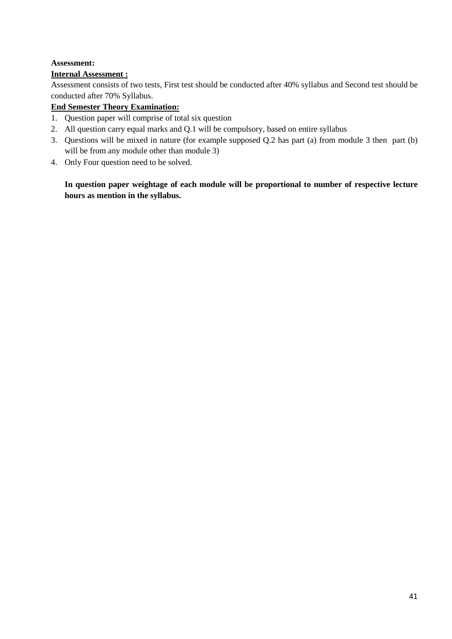# **Assessment:**

# **Internal Assessment :**

Assessment consists of two tests, First test should be conducted after 40% syllabus and Second test should be conducted after 70% Syllabus.

# **End Semester Theory Examination:**

- 1. Question paper will comprise of total six question
- 2. All question carry equal marks and Q.1 will be compulsory, based on entire syllabus
- 3. Questions will be mixed in nature (for example supposed Q.2 has part (a) from module 3 then part (b) will be from any module other than module 3)
- 4. Only Four question need to be solved.

**In question paper weightage of each module will be proportional to number of respective lecture hours as mention in the syllabus.**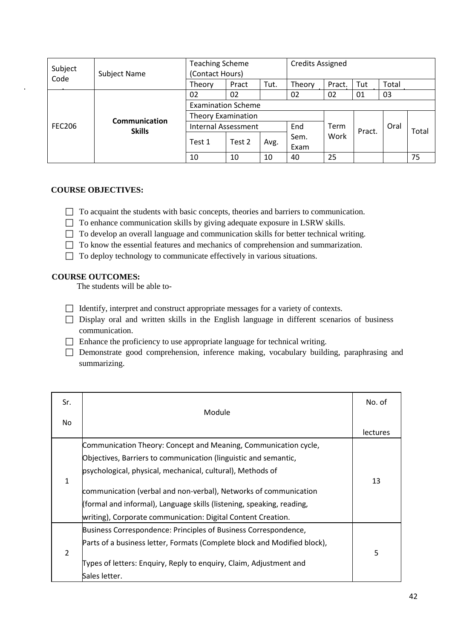| Subject       | <b>Subject Name</b>                   | <b>Teaching Scheme</b><br>(Contact Hours) |        |      | <b>Credits Assigned</b> |        |        |       |       |
|---------------|---------------------------------------|-------------------------------------------|--------|------|-------------------------|--------|--------|-------|-------|
| Code          |                                       | Theory                                    | Pract  | Tut. | Theory                  | Pract. | Tut    | Total |       |
|               | <b>Communication</b><br><b>Skills</b> | 02                                        | 02     |      | 02                      | 02     | 01     | 03    |       |
|               |                                       | <b>Examination Scheme</b>                 |        |      |                         |        |        |       |       |
|               |                                       | <b>Theory Examination</b>                 |        |      |                         |        |        |       |       |
| <b>FEC206</b> |                                       | <b>Internal Assessment</b>                |        |      | End                     | Term   | Pract. | Oral  | Total |
|               |                                       | Test 1                                    | Test 2 | Avg. | Sem.                    | Work   |        |       |       |
|               |                                       |                                           |        |      | Exam                    |        |        |       |       |
|               |                                       | 10                                        | 10     | 10   | 40                      | 25     |        |       | 75    |

## **COURSE OBJECTIVES:**

- $\Box$  To acquaint the students with basic concepts, theories and barriers to communication.
- □ To enhance communication skills by giving adequate exposure in LSRW skills.
- $\Box$  To develop an overall language and communication skills for better technical writing.
- $\Box$  To know the essential features and mechanics of comprehension and summarization.
- $\Box$  To deploy technology to communicate effectively in various situations.

#### **COURSE OUTCOMES:**

The students will be able to-

- $\Box$  Identify, interpret and construct appropriate messages for a variety of contexts.
- $\Box$  Display oral and written skills in the English language in different scenarios of business communication.
- $\Box$  Enhance the proficiency to use appropriate language for technical writing.
- Demonstrate good comprehension, inference making, vocabulary building, paraphrasing and summarizing.

| Sr. |                                                                                                                                                                                                                                                                                                                                                                                                               | No. of          |
|-----|---------------------------------------------------------------------------------------------------------------------------------------------------------------------------------------------------------------------------------------------------------------------------------------------------------------------------------------------------------------------------------------------------------------|-----------------|
| No. | Module                                                                                                                                                                                                                                                                                                                                                                                                        | <b>lectures</b> |
| 1   | Communication Theory: Concept and Meaning, Communication cycle,<br>Objectives, Barriers to communication (linguistic and semantic,<br>psychological, physical, mechanical, cultural), Methods of<br>communication (verbal and non-verbal), Networks of communication<br>(formal and informal), Language skills (listening, speaking, reading,<br>writing), Corporate communication: Digital Content Creation. | 13              |
| 2   | Business Correspondence: Principles of Business Correspondence,<br>Parts of a business letter, Formats (Complete block and Modified block),<br>Types of letters: Enquiry, Reply to enquiry, Claim, Adjustment and<br>Sales letter.                                                                                                                                                                            | 5               |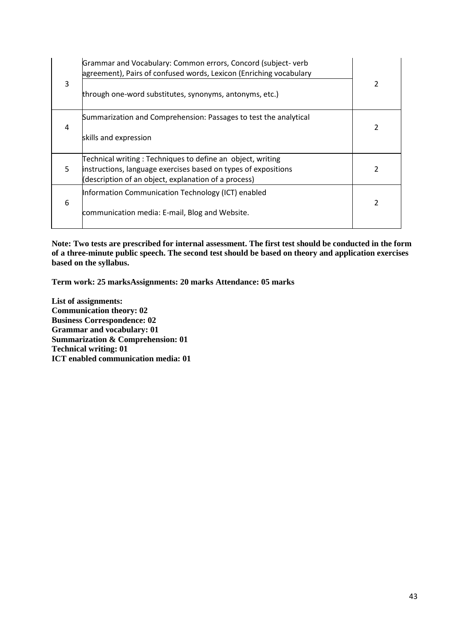| 3 | Grammar and Vocabulary: Common errors, Concord (subject-verb<br>agreement), Pairs of confused words, Lexicon (Enriching vocabulary<br>through one-word substitutes, synonyms, antonyms, etc.) | 2 |
|---|-----------------------------------------------------------------------------------------------------------------------------------------------------------------------------------------------|---|
| 4 | Summarization and Comprehension: Passages to test the analytical<br>skills and expression                                                                                                     |   |
| 5 | Technical writing: Techniques to define an object, writing<br>instructions, language exercises based on types of expositions<br>(description of an object, explanation of a process)          |   |
| 6 | Information Communication Technology (ICT) enabled<br>communication media: E-mail, Blog and Website.                                                                                          | 2 |

**Note: Two tests are prescribed for internal assessment. The first test should be conducted in the form of a three-minute public speech. The second test should be based on theory and application exercises based on the syllabus.**

**Term work: 25 marksAssignments: 20 marks Attendance: 05 marks**

**List of assignments: Communication theory: 02 Business Correspondence: 02 Grammar and vocabulary: 01 Summarization & Comprehension: 01 Technical writing: 01 ICT enabled communication media: 01**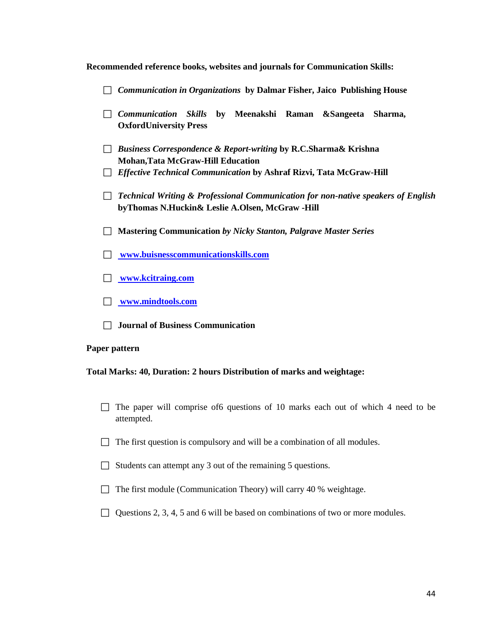|  |  | Recommended reference books, websites and journals for Communication Skills: |
|--|--|------------------------------------------------------------------------------|
|  |  |                                                                              |

|               | <b>Communication in Organizations by Dalmar Fisher, Jaico Publishing House</b>                                                                                                                           |  |  |  |  |  |  |
|---------------|----------------------------------------------------------------------------------------------------------------------------------------------------------------------------------------------------------|--|--|--|--|--|--|
|               | $\Box$ Communication Skills<br>by Meenakshi Raman & Sangeeta Sharma,<br><b>OxfordUniversity Press</b>                                                                                                    |  |  |  |  |  |  |
|               | <b>Business Correspondence &amp; Report-writing by R.C.Sharma&amp; Krishna</b><br><b>Mohan, Tata McGraw-Hill Education</b><br>$\Box$ Effective Technical Communication by Ashraf Rizvi, Tata McGraw-Hill |  |  |  |  |  |  |
|               | Technical Writing & Professional Communication for non-native speakers of English<br>byThomas N.Huckin& Leslie A.Olsen, McGraw -Hill                                                                     |  |  |  |  |  |  |
|               | <b>Mastering Communication by Nicky Stanton, Palgrave Master Series</b>                                                                                                                                  |  |  |  |  |  |  |
|               | www.buisnesscommunicationskills.com                                                                                                                                                                      |  |  |  |  |  |  |
|               | www.kcitraing.com                                                                                                                                                                                        |  |  |  |  |  |  |
|               | www.mindtools.com                                                                                                                                                                                        |  |  |  |  |  |  |
|               | <b>Journal of Business Communication</b>                                                                                                                                                                 |  |  |  |  |  |  |
| Paper pattern |                                                                                                                                                                                                          |  |  |  |  |  |  |
|               | <b>Total Marks: 40, Duration: 2 hours Distribution of marks and weightage:</b>                                                                                                                           |  |  |  |  |  |  |
|               | The paper will comprise of 6 questions of 10 marks each out of which 4 need to be<br>attempted.                                                                                                          |  |  |  |  |  |  |
|               | The first question is compulsory and will be a combination of all modules.                                                                                                                               |  |  |  |  |  |  |
|               | Students can attempt any 3 out of the remaining 5 questions.                                                                                                                                             |  |  |  |  |  |  |
|               | The first module (Communication Theory) will carry 40 % weightage.                                                                                                                                       |  |  |  |  |  |  |
|               | Questions 2, 3, 4, 5 and 6 will be based on combinations of two or more modules.                                                                                                                         |  |  |  |  |  |  |